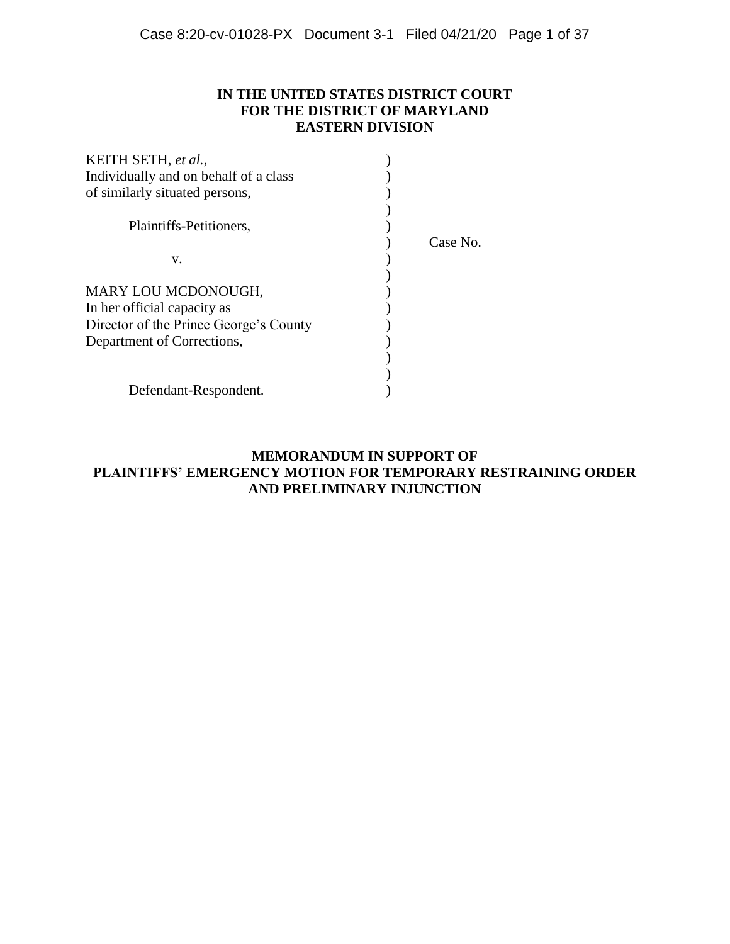# **IN THE UNITED STATES DISTRICT COURT FOR THE DISTRICT OF MARYLAND EASTERN DIVISION**

| KEITH SETH, et al.,                    |          |
|----------------------------------------|----------|
| Individually and on behalf of a class  |          |
| of similarly situated persons,         |          |
|                                        |          |
| Plaintiffs-Petitioners,                |          |
|                                        | Case No. |
| v.                                     |          |
|                                        |          |
| MARY LOU MCDONOUGH,                    |          |
| In her official capacity as            |          |
| Director of the Prince George's County |          |
| Department of Corrections,             |          |
|                                        |          |
|                                        |          |
| Defendant-Respondent.                  |          |

# **MEMORANDUM IN SUPPORT OF PLAINTIFFS' EMERGENCY MOTION FOR TEMPORARY RESTRAINING ORDER AND PRELIMINARY INJUNCTION**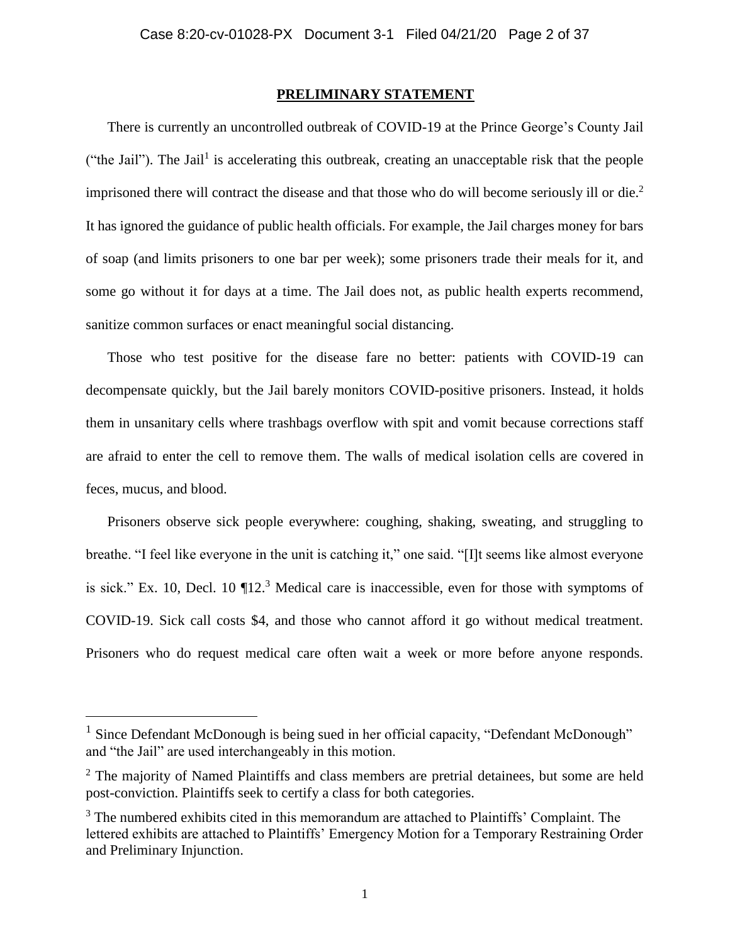### **PRELIMINARY STATEMENT**

There is currently an uncontrolled outbreak of COVID-19 at the Prince George's County Jail ("the Jail"). The Jail<sup>1</sup> is accelerating this outbreak, creating an unacceptable risk that the people imprisoned there will contract the disease and that those who do will become seriously ill or die. 2 It has ignored the guidance of public health officials. For example, the Jail charges money for bars of soap (and limits prisoners to one bar per week); some prisoners trade their meals for it, and some go without it for days at a time. The Jail does not, as public health experts recommend, sanitize common surfaces or enact meaningful social distancing.

Those who test positive for the disease fare no better: patients with COVID-19 can decompensate quickly, but the Jail barely monitors COVID-positive prisoners. Instead, it holds them in unsanitary cells where trashbags overflow with spit and vomit because corrections staff are afraid to enter the cell to remove them. The walls of medical isolation cells are covered in feces, mucus, and blood.

Prisoners observe sick people everywhere: coughing, shaking, sweating, and struggling to breathe. "I feel like everyone in the unit is catching it," one said. "[I]t seems like almost everyone is sick." Ex. 10, Decl. 10  $\P$ 12.<sup>3</sup> Medical care is inaccessible, even for those with symptoms of COVID-19. Sick call costs \$4, and those who cannot afford it go without medical treatment. Prisoners who do request medical care often wait a week or more before anyone responds.

<sup>&</sup>lt;sup>1</sup> Since Defendant McDonough is being sued in her official capacity, "Defendant McDonough" and "the Jail" are used interchangeably in this motion.

 $2$  The majority of Named Plaintiffs and class members are pretrial detainees, but some are held post-conviction. Plaintiffs seek to certify a class for both categories.

 $3$  The numbered exhibits cited in this memorandum are attached to Plaintiffs' Complaint. The lettered exhibits are attached to Plaintiffs' Emergency Motion for a Temporary Restraining Order and Preliminary Injunction.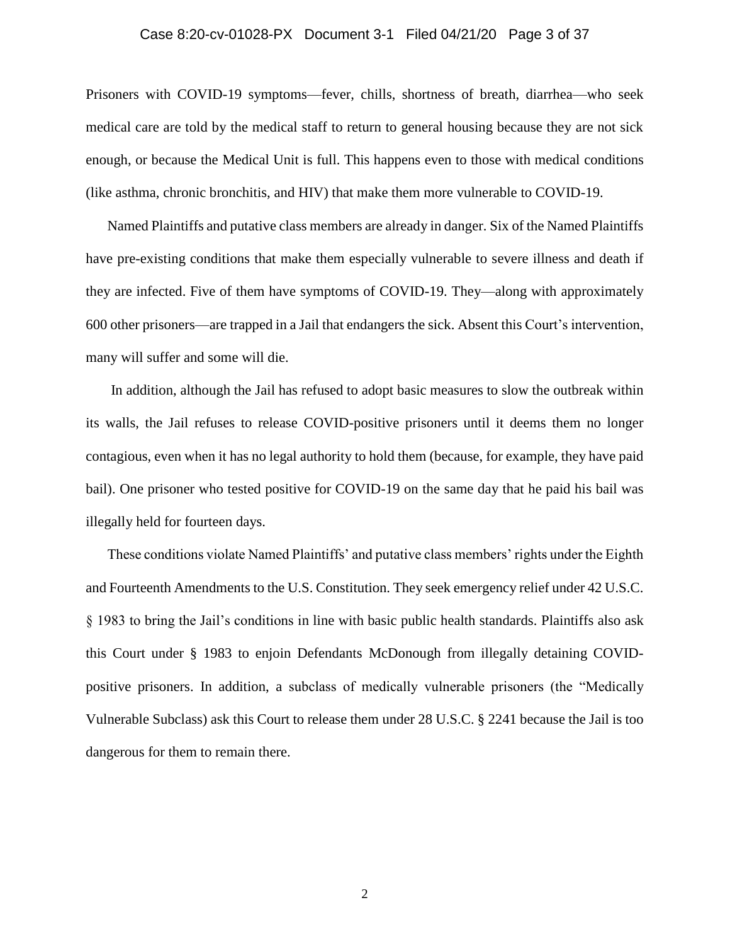### Case 8:20-cv-01028-PX Document 3-1 Filed 04/21/20 Page 3 of 37

Prisoners with COVID-19 symptoms—fever, chills, shortness of breath, diarrhea—who seek medical care are told by the medical staff to return to general housing because they are not sick enough, or because the Medical Unit is full. This happens even to those with medical conditions (like asthma, chronic bronchitis, and HIV) that make them more vulnerable to COVID-19.

Named Plaintiffs and putative class members are already in danger. Six of the Named Plaintiffs have pre-existing conditions that make them especially vulnerable to severe illness and death if they are infected. Five of them have symptoms of COVID-19. They—along with approximately 600 other prisoners—are trapped in a Jail that endangers the sick. Absent this Court's intervention, many will suffer and some will die.

In addition, although the Jail has refused to adopt basic measures to slow the outbreak within its walls, the Jail refuses to release COVID-positive prisoners until it deems them no longer contagious, even when it has no legal authority to hold them (because, for example, they have paid bail). One prisoner who tested positive for COVID-19 on the same day that he paid his bail was illegally held for fourteen days.

These conditions violate Named Plaintiffs' and putative class members' rights under the Eighth and Fourteenth Amendments to the U.S. Constitution. They seek emergency relief under 42 U.S.C. § 1983 to bring the Jail's conditions in line with basic public health standards. Plaintiffs also ask this Court under § 1983 to enjoin Defendants McDonough from illegally detaining COVIDpositive prisoners. In addition, a subclass of medically vulnerable prisoners (the "Medically Vulnerable Subclass) ask this Court to release them under 28 U.S.C. § 2241 because the Jail is too dangerous for them to remain there.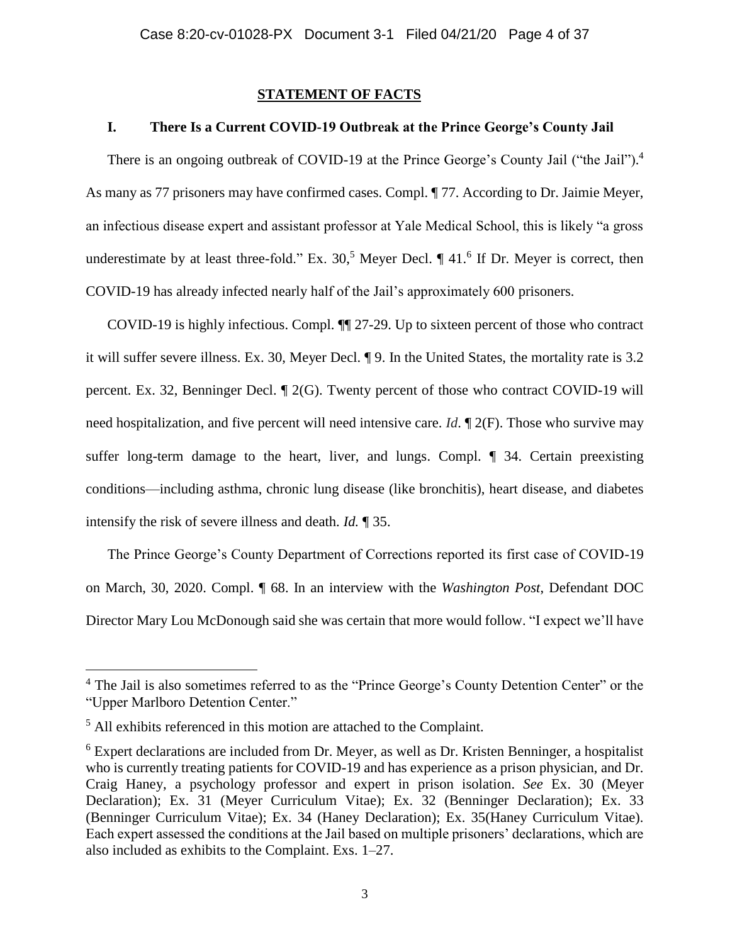### **STATEMENT OF FACTS**

# **I. There Is a Current COVID-19 Outbreak at the Prince George's County Jail**

There is an ongoing outbreak of COVID-19 at the Prince George's County Jail ("the Jail").<sup>4</sup> As many as 77 prisoners may have confirmed cases. Compl. ¶ 77. According to Dr. Jaimie Meyer, an infectious disease expert and assistant professor at Yale Medical School, this is likely "a gross underestimate by at least three-fold." Ex.  $30<sup>5</sup>$  Meyer Decl.  $\P$  41.<sup>6</sup> If Dr. Meyer is correct, then COVID-19 has already infected nearly half of the Jail's approximately 600 prisoners.

COVID-19 is highly infectious. Compl. ¶¶ 27-29. Up to sixteen percent of those who contract it will suffer severe illness. Ex. 30, Meyer Decl. ¶ 9. In the United States, the mortality rate is 3.2 percent. Ex. 32, Benninger Decl. ¶ 2(G). Twenty percent of those who contract COVID-19 will need hospitalization, and five percent will need intensive care. *Id*. ¶ 2(F). Those who survive may suffer long-term damage to the heart, liver, and lungs. Compl. ¶ 34. Certain preexisting conditions—including asthma, chronic lung disease (like bronchitis), heart disease, and diabetes intensify the risk of severe illness and death. *Id.* ¶ 35.

The Prince George's County Department of Corrections reported its first case of COVID-19 on March, 30, 2020. Compl. ¶ 68. In an interview with the *Washington Post*, Defendant DOC Director Mary Lou McDonough said she was certain that more would follow. "I expect we'll have

<sup>&</sup>lt;sup>4</sup> The Jail is also sometimes referred to as the "Prince George's County Detention Center" or the "Upper Marlboro Detention Center."

<sup>&</sup>lt;sup>5</sup> All exhibits referenced in this motion are attached to the Complaint.

<sup>6</sup> Expert declarations are included from Dr. Meyer, as well as Dr. Kristen Benninger, a hospitalist who is currently treating patients for COVID-19 and has experience as a prison physician, and Dr. Craig Haney, a psychology professor and expert in prison isolation. *See* Ex. 30 (Meyer Declaration); Ex. 31 (Meyer Curriculum Vitae); Ex. 32 (Benninger Declaration); Ex. 33 (Benninger Curriculum Vitae); Ex. 34 (Haney Declaration); Ex. 35(Haney Curriculum Vitae). Each expert assessed the conditions at the Jail based on multiple prisoners' declarations, which are also included as exhibits to the Complaint. Exs. 1–27.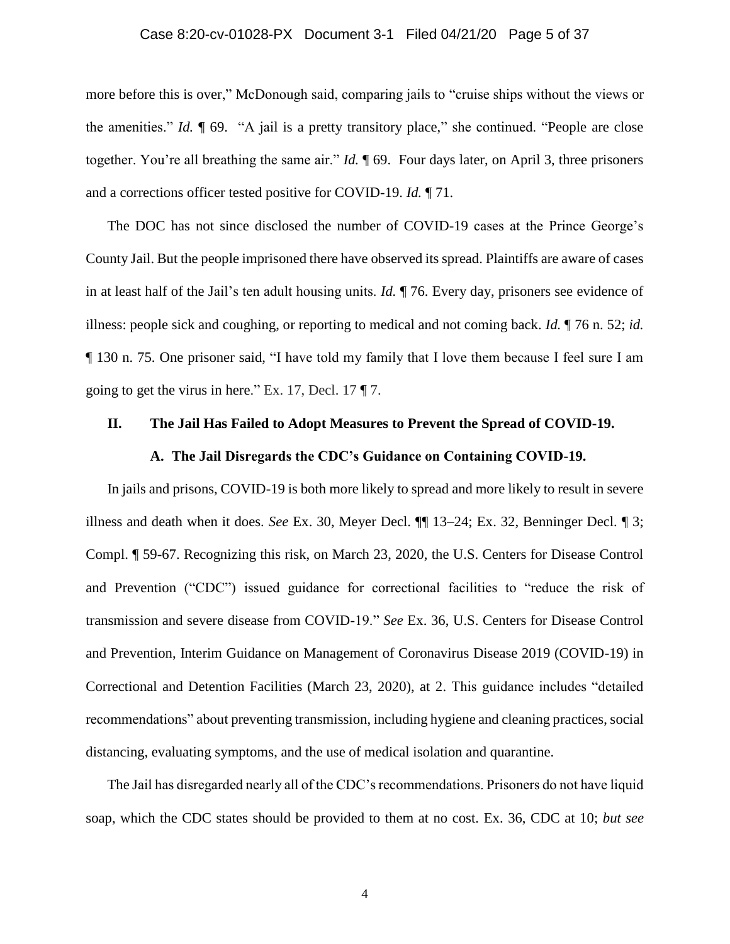### Case 8:20-cv-01028-PX Document 3-1 Filed 04/21/20 Page 5 of 37

more before this is over," McDonough said, comparing jails to "cruise ships without the views or the amenities." *Id.* ¶ 69. "A jail is a pretty transitory place," she continued. "People are close together. You're all breathing the same air." *Id.* ¶ 69. Four days later, on April 3, three prisoners and a corrections officer tested positive for COVID-19. *Id.* ¶ 71.

The DOC has not since disclosed the number of COVID-19 cases at the Prince George's County Jail. But the people imprisoned there have observed its spread. Plaintiffs are aware of cases in at least half of the Jail's ten adult housing units. *Id.* ¶ 76. Every day, prisoners see evidence of illness: people sick and coughing, or reporting to medical and not coming back. *Id.* ¶ 76 n. 52; *id.*  ¶ 130 n. 75. One prisoner said, "I have told my family that I love them because I feel sure I am going to get the virus in here." Ex. 17, Decl. 17  $\P$  7.

#### **II. The Jail Has Failed to Adopt Measures to Prevent the Spread of COVID-19.**

#### **A. The Jail Disregards the CDC's Guidance on Containing COVID-19.**

In jails and prisons, COVID-19 is both more likely to spread and more likely to result in severe illness and death when it does. *See* Ex. 30, Meyer Decl. ¶¶ 13–24; Ex. 32, Benninger Decl. ¶ 3; Compl. ¶ 59-67. Recognizing this risk, on March 23, 2020, the U.S. Centers for Disease Control and Prevention ("CDC") issued guidance for correctional facilities to "reduce the risk of transmission and severe disease from COVID-19." *See* Ex. 36, U.S. Centers for Disease Control and Prevention, Interim Guidance on Management of Coronavirus Disease 2019 (COVID-19) in Correctional and Detention Facilities (March 23, 2020), at 2. This guidance includes "detailed recommendations" about preventing transmission, including hygiene and cleaning practices, social distancing, evaluating symptoms, and the use of medical isolation and quarantine.

The Jail has disregarded nearly all of the CDC's recommendations. Prisoners do not have liquid soap, which the CDC states should be provided to them at no cost. Ex. 36, CDC at 10; *but see*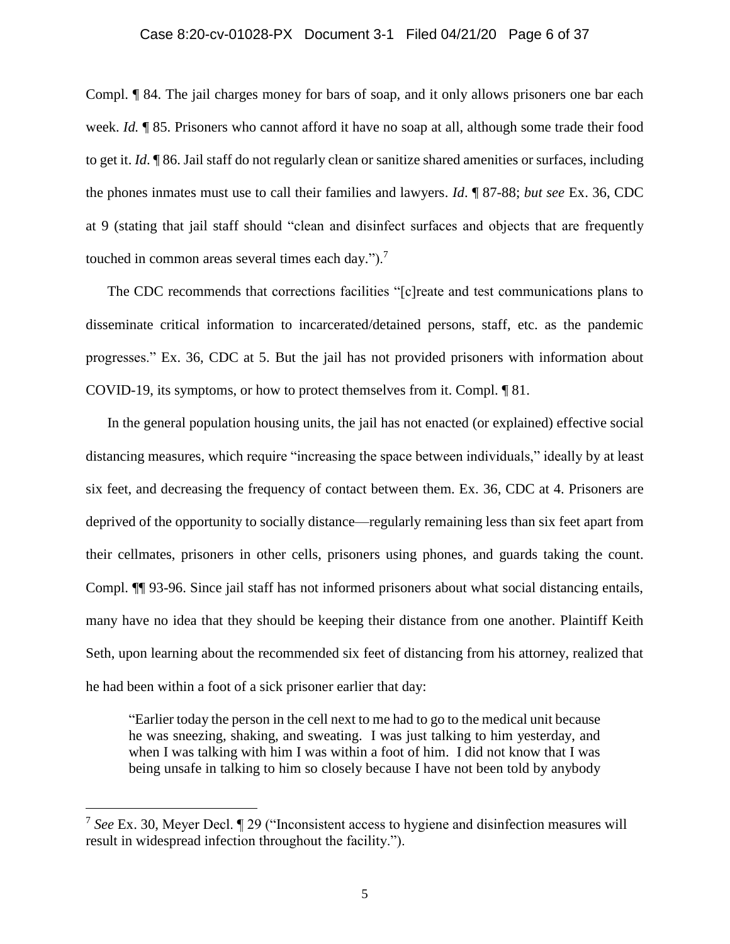#### Case 8:20-cv-01028-PX Document 3-1 Filed 04/21/20 Page 6 of 37

Compl. ¶ 84. The jail charges money for bars of soap, and it only allows prisoners one bar each week. *Id.* **¶** 85. Prisoners who cannot afford it have no soap at all, although some trade their food to get it. *Id*. ¶ 86. Jail staff do not regularly clean or sanitize shared amenities or surfaces, including the phones inmates must use to call their families and lawyers. *Id*. ¶ 87-88; *but see* Ex. 36, CDC at 9 (stating that jail staff should "clean and disinfect surfaces and objects that are frequently touched in common areas several times each day.").<sup>7</sup>

The CDC recommends that corrections facilities "[c]reate and test communications plans to disseminate critical information to incarcerated/detained persons, staff, etc. as the pandemic progresses." Ex. 36, CDC at 5. But the jail has not provided prisoners with information about COVID-19, its symptoms, or how to protect themselves from it. Compl. ¶ 81.

In the general population housing units, the jail has not enacted (or explained) effective social distancing measures, which require "increasing the space between individuals," ideally by at least six feet, and decreasing the frequency of contact between them. Ex. 36, CDC at 4. Prisoners are deprived of the opportunity to socially distance—regularly remaining less than six feet apart from their cellmates, prisoners in other cells, prisoners using phones, and guards taking the count. Compl. ¶¶ 93-96. Since jail staff has not informed prisoners about what social distancing entails, many have no idea that they should be keeping their distance from one another. Plaintiff Keith Seth, upon learning about the recommended six feet of distancing from his attorney, realized that he had been within a foot of a sick prisoner earlier that day:

"Earlier today the person in the cell next to me had to go to the medical unit because he was sneezing, shaking, and sweating. I was just talking to him yesterday, and when I was talking with him I was within a foot of him. I did not know that I was being unsafe in talking to him so closely because I have not been told by anybody

<sup>7</sup> *See* Ex. 30, Meyer Decl. ¶ 29 ("Inconsistent access to hygiene and disinfection measures will result in widespread infection throughout the facility.").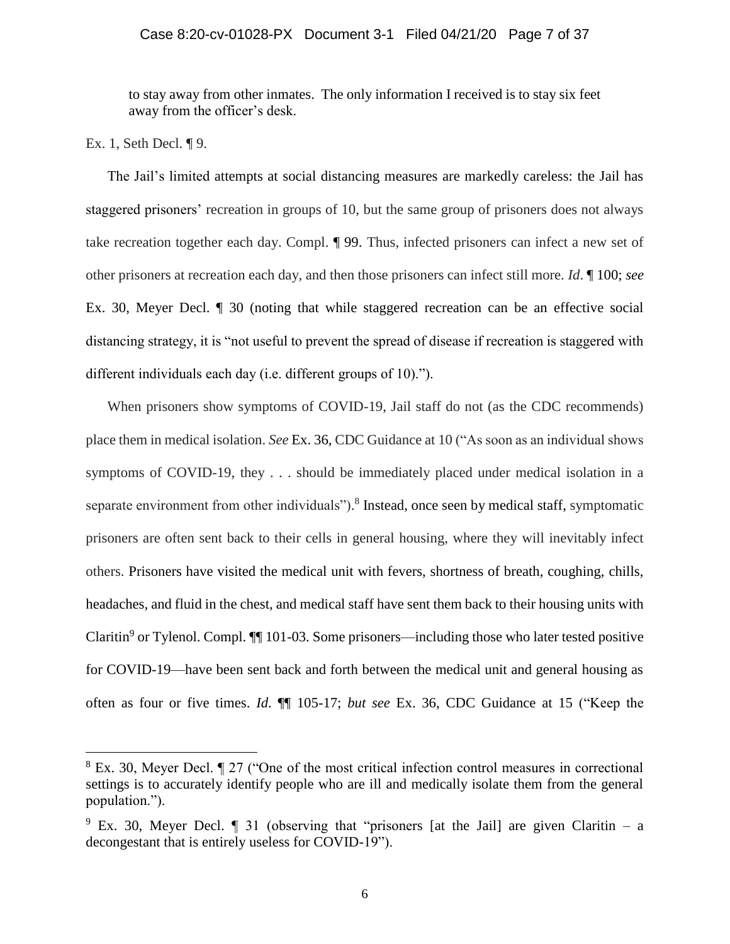to stay away from other inmates. The only information I received is to stay six feet away from the officer's desk.

Ex. 1, Seth Decl. ¶ 9.

l

The Jail's limited attempts at social distancing measures are markedly careless: the Jail has staggered prisoners' recreation in groups of 10, but the same group of prisoners does not always take recreation together each day. Compl. ¶ 99. Thus, infected prisoners can infect a new set of other prisoners at recreation each day, and then those prisoners can infect still more. *Id*. ¶ 100; *see*  Ex. 30, Meyer Decl. ¶ 30 (noting that while staggered recreation can be an effective social distancing strategy, it is "not useful to prevent the spread of disease if recreation is staggered with different individuals each day (i.e. different groups of 10).").

When prisoners show symptoms of COVID-19, Jail staff do not (as the CDC recommends) place them in medical isolation. *See* Ex. 36, CDC Guidance at 10 ("As soon as an individual shows symptoms of COVID-19, they . . . should be immediately placed under medical isolation in a separate environment from other individuals").<sup>8</sup> Instead, once seen by medical staff, symptomatic prisoners are often sent back to their cells in general housing, where they will inevitably infect others. Prisoners have visited the medical unit with fevers, shortness of breath, coughing, chills, headaches, and fluid in the chest, and medical staff have sent them back to their housing units with Claritin<sup>9</sup> or Tylenol. Compl. **[101**-03. Some prisoners—including those who later tested positive for COVID-19—have been sent back and forth between the medical unit and general housing as often as four or five times. *Id*. ¶¶ 105-17; *but see* Ex. 36, CDC Guidance at 15 ("Keep the

<sup>&</sup>lt;sup>8</sup> Ex. 30, Meyer Decl.  $\lll 27$  ("One of the most critical infection control measures in correctional settings is to accurately identify people who are ill and medically isolate them from the general population.").

<sup>&</sup>lt;sup>9</sup> Ex. 30, Meyer Decl.  $\P$  31 (observing that "prisoners [at the Jail] are given Claritin – a decongestant that is entirely useless for COVID-19").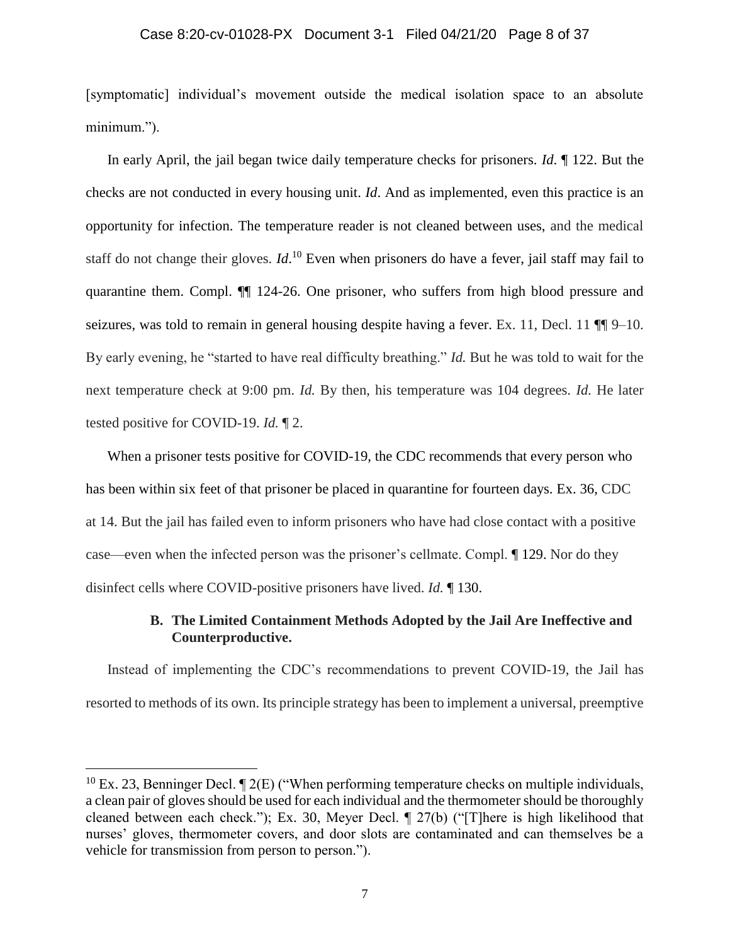#### Case 8:20-cv-01028-PX Document 3-1 Filed 04/21/20 Page 8 of 37

[symptomatic] individual's movement outside the medical isolation space to an absolute minimum.").

In early April, the jail began twice daily temperature checks for prisoners. *Id*. ¶ 122. But the checks are not conducted in every housing unit. *Id*. And as implemented, even this practice is an opportunity for infection. The temperature reader is not cleaned between uses, and the medical staff do not change their gloves. *Id*.<sup>10</sup> Even when prisoners do have a fever, jail staff may fail to quarantine them. Compl. ¶¶ 124-26. One prisoner, who suffers from high blood pressure and seizures, was told to remain in general housing despite having a fever. Ex. 11, Decl. 11  $\P$  9–10. By early evening, he "started to have real difficulty breathing." *Id.* But he was told to wait for the next temperature check at 9:00 pm. *Id.* By then, his temperature was 104 degrees. *Id.* He later tested positive for COVID-19. *Id.* ¶ 2.

When a prisoner tests positive for COVID-19, the CDC recommends that every person who has been within six feet of that prisoner be placed in quarantine for fourteen days. Ex. 36, CDC at 14. But the jail has failed even to inform prisoners who have had close contact with a positive case—even when the infected person was the prisoner's cellmate. Compl. ¶ 129. Nor do they disinfect cells where COVID-positive prisoners have lived. *Id.* ¶ 130.

# **B. The Limited Containment Methods Adopted by the Jail Are Ineffective and Counterproductive.**

Instead of implementing the CDC's recommendations to prevent COVID-19, the Jail has resorted to methods of its own. Its principle strategy has been to implement a universal, preemptive

<sup>&</sup>lt;sup>10</sup> Ex. 23, Benninger Decl.  $\P$  2(E) ("When performing temperature checks on multiple individuals, a clean pair of gloves should be used for each individual and the thermometer should be thoroughly cleaned between each check."); Ex. 30, Meyer Decl. ¶ 27(b) ("[T]here is high likelihood that nurses' gloves, thermometer covers, and door slots are contaminated and can themselves be a vehicle for transmission from person to person.").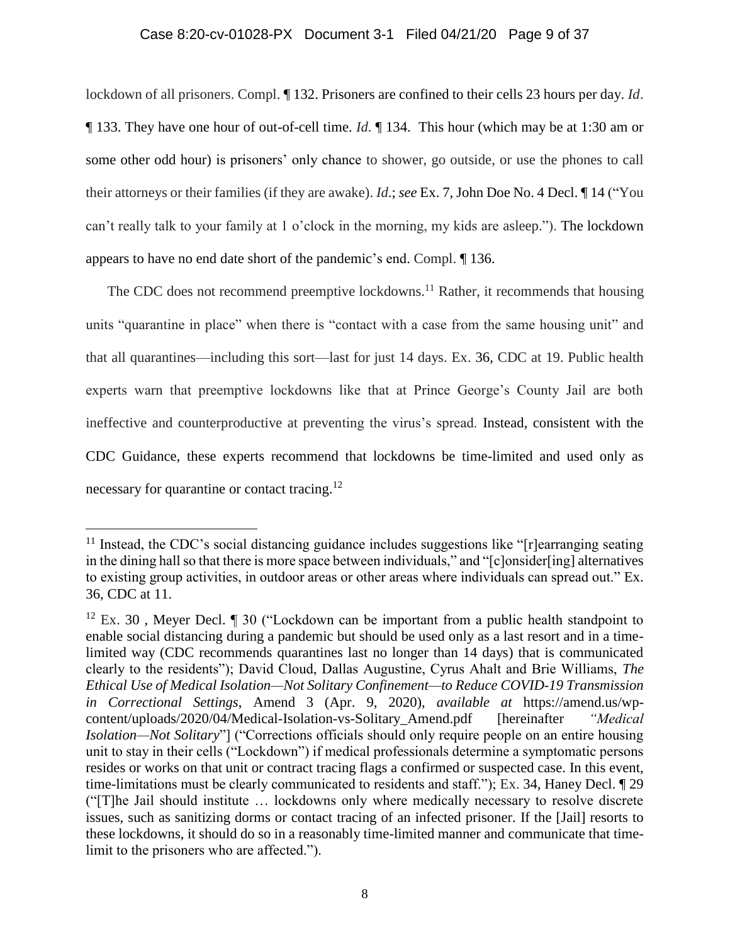### Case 8:20-cv-01028-PX Document 3-1 Filed 04/21/20 Page 9 of 37

lockdown of all prisoners. Compl. ¶ 132. Prisoners are confined to their cells 23 hours per day. *Id*. ¶ 133. They have one hour of out-of-cell time. *Id*. ¶ 134. This hour (which may be at 1:30 am or some other odd hour) is prisoners' only chance to shower, go outside, or use the phones to call their attorneys or their families (if they are awake). *Id*.; *see* Ex. 7, John Doe No. 4 Decl. ¶ 14 ("You can't really talk to your family at 1 o'clock in the morning, my kids are asleep."). The lockdown appears to have no end date short of the pandemic's end. Compl. ¶ 136.

The CDC does not recommend preemptive lockdowns.<sup>11</sup> Rather, it recommends that housing units "quarantine in place" when there is "contact with a case from the same housing unit" and that all quarantines—including this sort—last for just 14 days. Ex. 36, CDC at 19. Public health experts warn that preemptive lockdowns like that at Prince George's County Jail are both ineffective and counterproductive at preventing the virus's spread. Instead, consistent with the CDC Guidance, these experts recommend that lockdowns be time-limited and used only as necessary for quarantine or contact tracing.<sup>12</sup>

 $11$  Instead, the CDC's social distancing guidance includes suggestions like " $[r]$ earranging seating in the dining hall so that there is more space between individuals," and "[c]onsider[ing] alternatives to existing group activities, in outdoor areas or other areas where individuals can spread out." Ex. 36, CDC at 11.

<sup>&</sup>lt;sup>12</sup> Ex. 30, Meyer Decl.  $\parallel$  30 ("Lockdown can be important from a public health standpoint to enable social distancing during a pandemic but should be used only as a last resort and in a timelimited way (CDC recommends quarantines last no longer than 14 days) that is communicated clearly to the residents"); David Cloud, Dallas Augustine, Cyrus Ahalt and Brie Williams, *The Ethical Use of Medical Isolation—Not Solitary Confinement—to Reduce COVID-19 Transmission in Correctional Settings*, Amend 3 (Apr. 9, 2020), *available at* https://amend.us/wpcontent/uploads/2020/04/Medical-Isolation-vs-Solitary\_Amend.pdf [hereinafter *"Medical Isolation—Not Solitary*"] ("Corrections officials should only require people on an entire housing unit to stay in their cells ("Lockdown") if medical professionals determine a symptomatic persons resides or works on that unit or contract tracing flags a confirmed or suspected case. In this event, time-limitations must be clearly communicated to residents and staff."); Ex. 34, Haney Decl. ¶ 29 ("[T]he Jail should institute … lockdowns only where medically necessary to resolve discrete issues, such as sanitizing dorms or contact tracing of an infected prisoner. If the [Jail] resorts to these lockdowns, it should do so in a reasonably time-limited manner and communicate that timelimit to the prisoners who are affected.").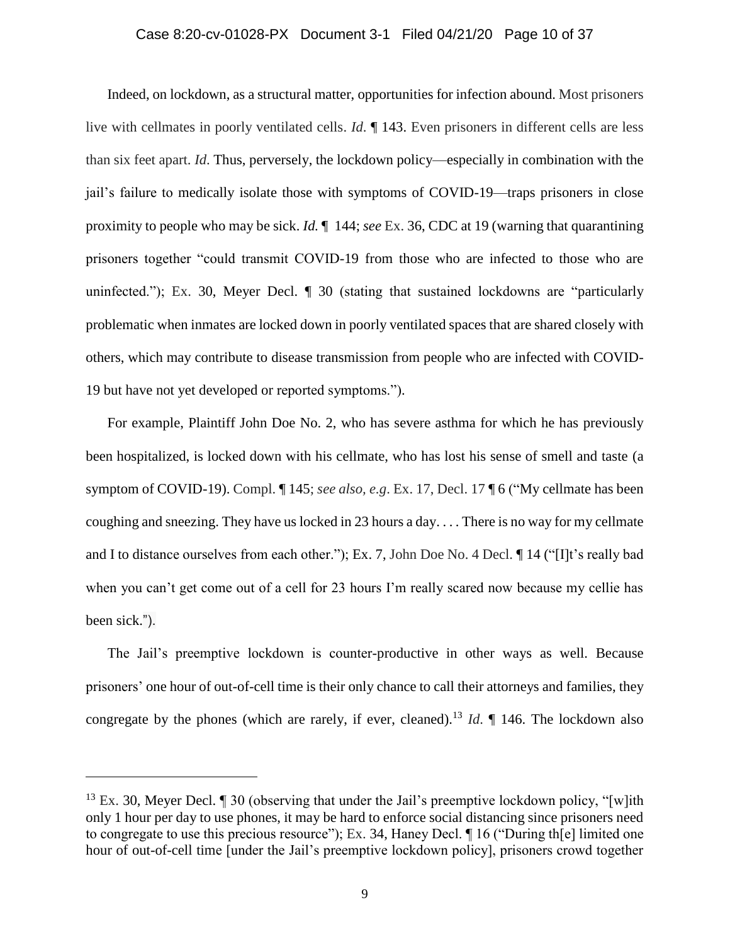# Case 8:20-cv-01028-PX Document 3-1 Filed 04/21/20 Page 10 of 37

Indeed, on lockdown, as a structural matter, opportunities for infection abound. Most prisoners live with cellmates in poorly ventilated cells. *Id*. ¶ 143. Even prisoners in different cells are less than six feet apart. *Id*. Thus, perversely, the lockdown policy—especially in combination with the jail's failure to medically isolate those with symptoms of COVID-19—traps prisoners in close proximity to people who may be sick. *Id.* ¶ 144; *see* Ex. 36, CDC at 19 (warning that quarantining prisoners together "could transmit COVID-19 from those who are infected to those who are uninfected."); Ex. 30, Meyer Decl. ¶ 30 (stating that sustained lockdowns are "particularly problematic when inmates are locked down in poorly ventilated spaces that are shared closely with others, which may contribute to disease transmission from people who are infected with COVID-19 but have not yet developed or reported symptoms.").

For example, Plaintiff John Doe No. 2, who has severe asthma for which he has previously been hospitalized, is locked down with his cellmate, who has lost his sense of smell and taste (a symptom of COVID-19). Compl. ¶ 145; *see also, e.g*. Ex. 17, Decl. 17 ¶ 6 ("My cellmate has been coughing and sneezing. They have us locked in 23 hours a day. . . . There is no way for my cellmate and I to distance ourselves from each other."); Ex. 7, John Doe No. 4 Decl. ¶ 14 ("[I]t's really bad when you can't get come out of a cell for 23 hours I'm really scared now because my cellie has been sick.").

The Jail's preemptive lockdown is counter-productive in other ways as well. Because prisoners' one hour of out-of-cell time is their only chance to call their attorneys and families, they congregate by the phones (which are rarely, if ever, cleaned).<sup>13</sup> *Id*.  $\P$  146. The lockdown also

<sup>&</sup>lt;sup>13</sup> Ex. 30, Meyer Decl.  $\llbracket$  30 (observing that under the Jail's preemptive lockdown policy, "[w]ith only 1 hour per day to use phones, it may be hard to enforce social distancing since prisoners need to congregate to use this precious resource"); Ex. 34, Haney Decl. ¶ 16 ("During th[e] limited one hour of out-of-cell time [under the Jail's preemptive lockdown policy], prisoners crowd together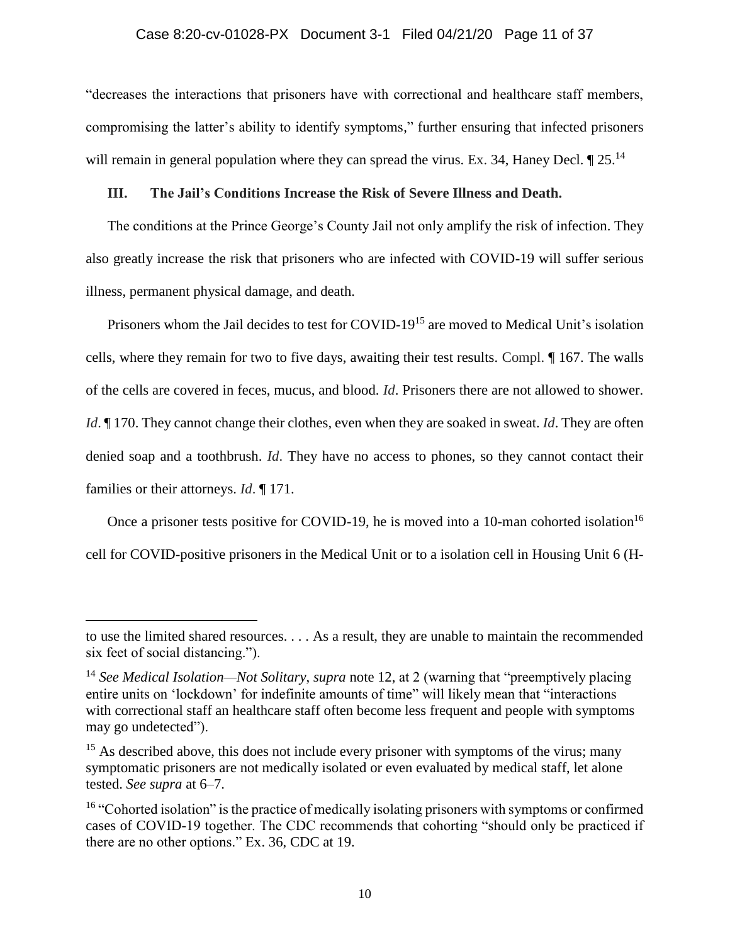"decreases the interactions that prisoners have with correctional and healthcare staff members, compromising the latter's ability to identify symptoms," further ensuring that infected prisoners will remain in general population where they can spread the virus. Ex. 34, Haney Decl.  $\P$  25.<sup>14</sup>

# **III. The Jail's Conditions Increase the Risk of Severe Illness and Death.**

The conditions at the Prince George's County Jail not only amplify the risk of infection. They also greatly increase the risk that prisoners who are infected with COVID-19 will suffer serious illness, permanent physical damage, and death.

Prisoners whom the Jail decides to test for COVID-19<sup>15</sup> are moved to Medical Unit's isolation cells, where they remain for two to five days, awaiting their test results. Compl. ¶ 167. The walls of the cells are covered in feces, mucus, and blood. *Id*. Prisoners there are not allowed to shower. *Id*.  $\llbracket$  170. They cannot change their clothes, even when they are soaked in sweat. *Id*. They are often denied soap and a toothbrush. *Id*. They have no access to phones, so they cannot contact their families or their attorneys. *Id*. ¶ 171.

Once a prisoner tests positive for COVID-19, he is moved into a 10-man cohorted isolation<sup>16</sup> cell for COVID-positive prisoners in the Medical Unit or to a isolation cell in Housing Unit 6 (H-

to use the limited shared resources. . . . As a result, they are unable to maintain the recommended six feet of social distancing.").

<sup>14</sup> *See Medical Isolation—Not Solitary*, *supra* note 12, at 2 (warning that "preemptively placing entire units on 'lockdown' for indefinite amounts of time" will likely mean that "interactions with correctional staff an healthcare staff often become less frequent and people with symptoms may go undetected").

 $15$  As described above, this does not include every prisoner with symptoms of the virus; many symptomatic prisoners are not medically isolated or even evaluated by medical staff, let alone tested. *See supra* at 6–7.

<sup>&</sup>lt;sup>16</sup> "Cohorted isolation" is the practice of medically isolating prisoners with symptoms or confirmed cases of COVID-19 together. The CDC recommends that cohorting "should only be practiced if there are no other options." Ex. 36, CDC at 19.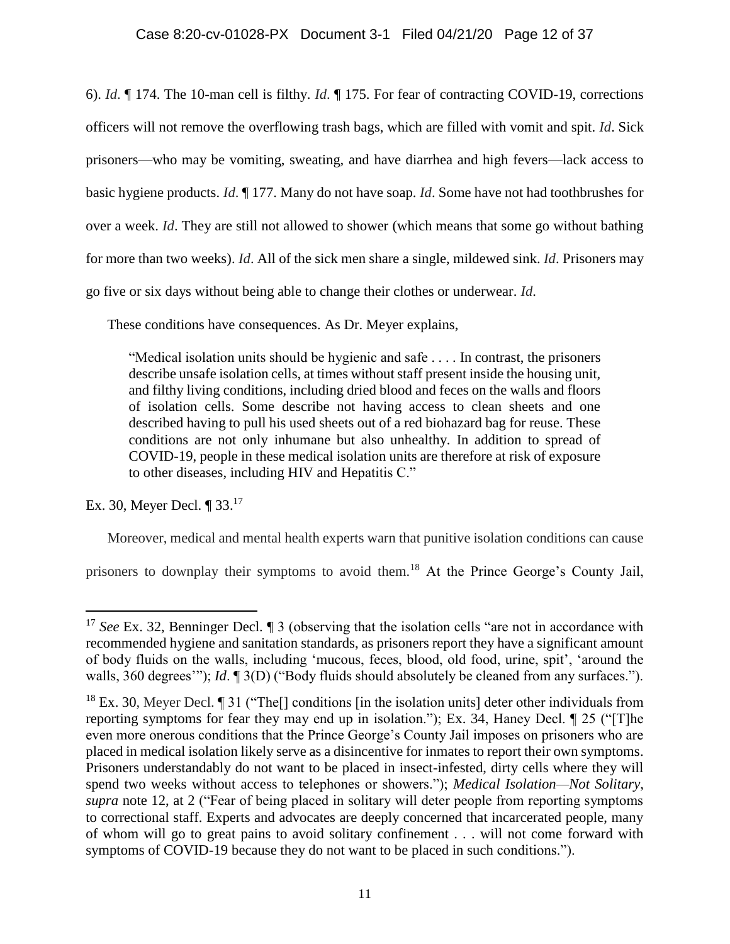6). *Id*. ¶ 174. The 10-man cell is filthy. *Id*. ¶ 175. For fear of contracting COVID-19, corrections officers will not remove the overflowing trash bags, which are filled with vomit and spit. *Id*. Sick prisoners—who may be vomiting, sweating, and have diarrhea and high fevers—lack access to basic hygiene products. *Id*. ¶ 177. Many do not have soap. *Id*. Some have not had toothbrushes for over a week. *Id*. They are still not allowed to shower (which means that some go without bathing for more than two weeks). *Id*. All of the sick men share a single, mildewed sink. *Id*. Prisoners may go five or six days without being able to change their clothes or underwear. *Id*.

These conditions have consequences. As Dr. Meyer explains,

"Medical isolation units should be hygienic and safe . . . . In contrast, the prisoners describe unsafe isolation cells, at times without staff present inside the housing unit, and filthy living conditions, including dried blood and feces on the walls and floors of isolation cells. Some describe not having access to clean sheets and one described having to pull his used sheets out of a red biohazard bag for reuse. These conditions are not only inhumane but also unhealthy. In addition to spread of COVID-19, people in these medical isolation units are therefore at risk of exposure to other diseases, including HIV and Hepatitis C."

Ex. 30, Meyer Decl. ¶ 33.<sup>17</sup>

Moreover, medical and mental health experts warn that punitive isolation conditions can cause

prisoners to downplay their symptoms to avoid them.<sup>18</sup> At the Prince George's County Jail,

l <sup>17</sup> *See* Ex. 32, Benninger Decl. If 3 (observing that the isolation cells "are not in accordance with recommended hygiene and sanitation standards, as prisoners report they have a significant amount of body fluids on the walls, including 'mucous, feces, blood, old food, urine, spit', 'around the walls, 360 degrees'"); *Id*. ¶ 3(D) ("Body fluids should absolutely be cleaned from any surfaces.").

<sup>&</sup>lt;sup>18</sup> Ex. 30, Meyer Decl.  $\llbracket$  31 ("The  $\llbracket$  conditions  $\llbracket$  in the isolation units deter other individuals from reporting symptoms for fear they may end up in isolation."); Ex. 34, Haney Decl. ¶ 25 ("[T]he even more onerous conditions that the Prince George's County Jail imposes on prisoners who are placed in medical isolation likely serve as a disincentive for inmates to report their own symptoms. Prisoners understandably do not want to be placed in insect-infested, dirty cells where they will spend two weeks without access to telephones or showers."); *Medical Isolation—Not Solitary*, *supra* note 12, at 2 ("Fear of being placed in solitary will deter people from reporting symptoms to correctional staff. Experts and advocates are deeply concerned that incarcerated people, many of whom will go to great pains to avoid solitary confinement . . . will not come forward with symptoms of COVID-19 because they do not want to be placed in such conditions.").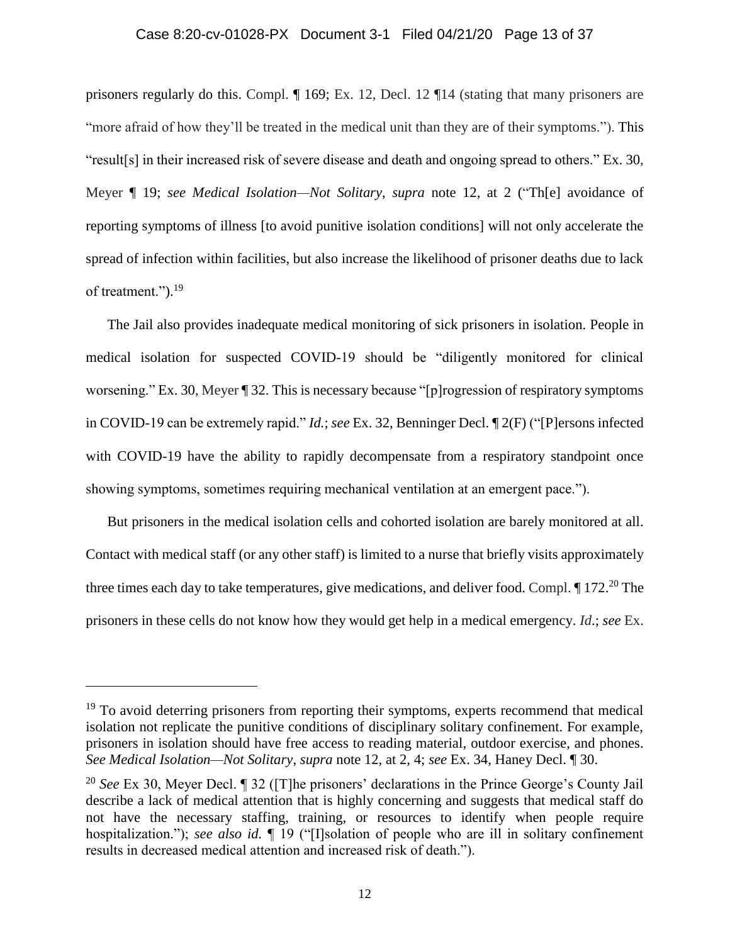# Case 8:20-cv-01028-PX Document 3-1 Filed 04/21/20 Page 13 of 37

prisoners regularly do this. Compl. ¶ 169; Ex. 12, Decl. 12 ¶14 (stating that many prisoners are "more afraid of how they'll be treated in the medical unit than they are of their symptoms."). This "result[s] in their increased risk of severe disease and death and ongoing spread to others." Ex. 30, Meyer ¶ 19; *see Medical Isolation—Not Solitary*, *supra* note 12, at 2 ("Th[e] avoidance of reporting symptoms of illness [to avoid punitive isolation conditions] will not only accelerate the spread of infection within facilities, but also increase the likelihood of prisoner deaths due to lack of treatment.").<sup>19</sup>

The Jail also provides inadequate medical monitoring of sick prisoners in isolation. People in medical isolation for suspected COVID-19 should be "diligently monitored for clinical worsening." Ex. 30, Meyer ¶ 32. This is necessary because "[p]rogression of respiratory symptoms in COVID-19 can be extremely rapid." *Id.*; *see* Ex. 32, Benninger Decl. ¶ 2(F) ("[P]ersons infected with COVID-19 have the ability to rapidly decompensate from a respiratory standpoint once showing symptoms, sometimes requiring mechanical ventilation at an emergent pace.").

But prisoners in the medical isolation cells and cohorted isolation are barely monitored at all. Contact with medical staff (or any other staff) is limited to a nurse that briefly visits approximately three times each day to take temperatures, give medications, and deliver food. Compl.  $\P$  172.<sup>20</sup> The prisoners in these cells do not know how they would get help in a medical emergency. *Id*.; *see* Ex.

 $19$  To avoid deterring prisoners from reporting their symptoms, experts recommend that medical isolation not replicate the punitive conditions of disciplinary solitary confinement. For example, prisoners in isolation should have free access to reading material, outdoor exercise, and phones. *See Medical Isolation—Not Solitary*, *supra* note 12, at 2, 4; *see* Ex. 34, Haney Decl. ¶ 30.

<sup>20</sup> *See* Ex 30, Meyer Decl. ¶ 32 ([T]he prisoners' declarations in the Prince George's County Jail describe a lack of medical attention that is highly concerning and suggests that medical staff do not have the necessary staffing, training, or resources to identify when people require hospitalization."); *see also id.* ¶ 19 ("[I]solation of people who are ill in solitary confinement results in decreased medical attention and increased risk of death.").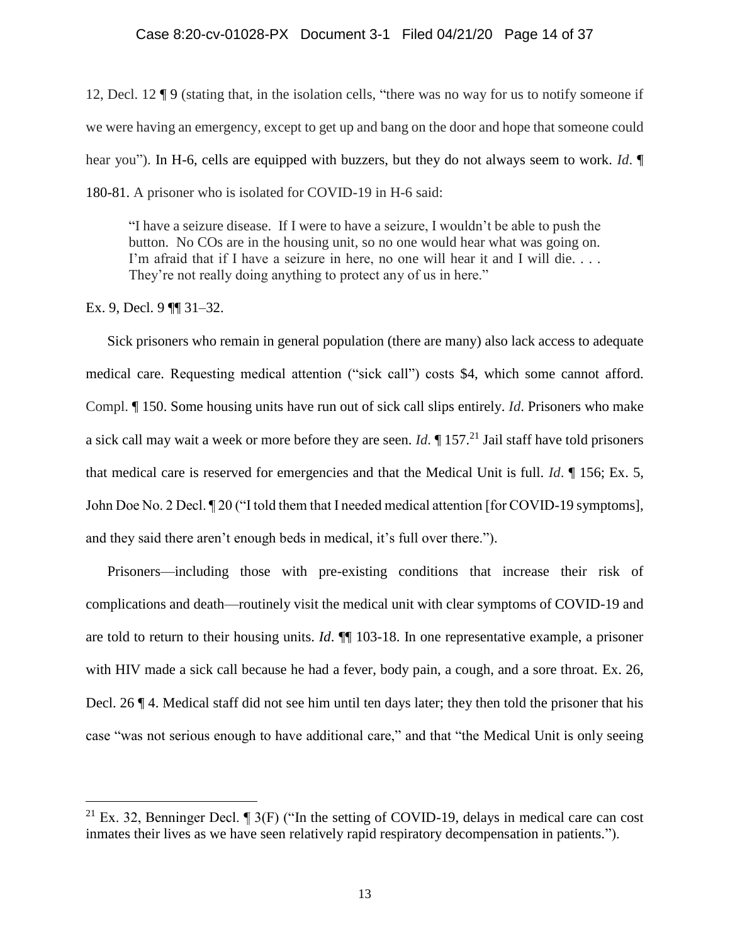12, Decl. 12 ¶ 9 (stating that, in the isolation cells, "there was no way for us to notify someone if we were having an emergency, except to get up and bang on the door and hope that someone could hear you"). In H-6, cells are equipped with buzzers, but they do not always seem to work. *Id*. ¶ 180-81. A prisoner who is isolated for COVID-19 in H-6 said:

"I have a seizure disease. If I were to have a seizure, I wouldn't be able to push the button. No COs are in the housing unit, so no one would hear what was going on. I'm afraid that if I have a seizure in here, no one will hear it and I will die. . . . They're not really doing anything to protect any of us in here."

Ex. 9, Decl. 9 ¶¶ 31–32.

l

Sick prisoners who remain in general population (there are many) also lack access to adequate medical care. Requesting medical attention ("sick call") costs \$4, which some cannot afford. Compl. ¶ 150. Some housing units have run out of sick call slips entirely. *Id*. Prisoners who make a sick call may wait a week or more before they are seen. *Id*. ¶ 157. <sup>21</sup> Jail staff have told prisoners that medical care is reserved for emergencies and that the Medical Unit is full. *Id*. ¶ 156; Ex. 5, John Doe No. 2 Decl. ¶ 20 ("I told them that I needed medical attention [for COVID-19 symptoms], and they said there aren't enough beds in medical, it's full over there.").

Prisoners—including those with pre-existing conditions that increase their risk of complications and death—routinely visit the medical unit with clear symptoms of COVID-19 and are told to return to their housing units. *Id*. ¶¶ 103-18. In one representative example, a prisoner with HIV made a sick call because he had a fever, body pain, a cough, and a sore throat. Ex. 26, Decl. 26 ¶ 4. Medical staff did not see him until ten days later; they then told the prisoner that his case "was not serious enough to have additional care," and that "the Medical Unit is only seeing

<sup>&</sup>lt;sup>21</sup> Ex. 32, Benninger Decl.  $\P$  3(F) ("In the setting of COVID-19, delays in medical care can cost inmates their lives as we have seen relatively rapid respiratory decompensation in patients.").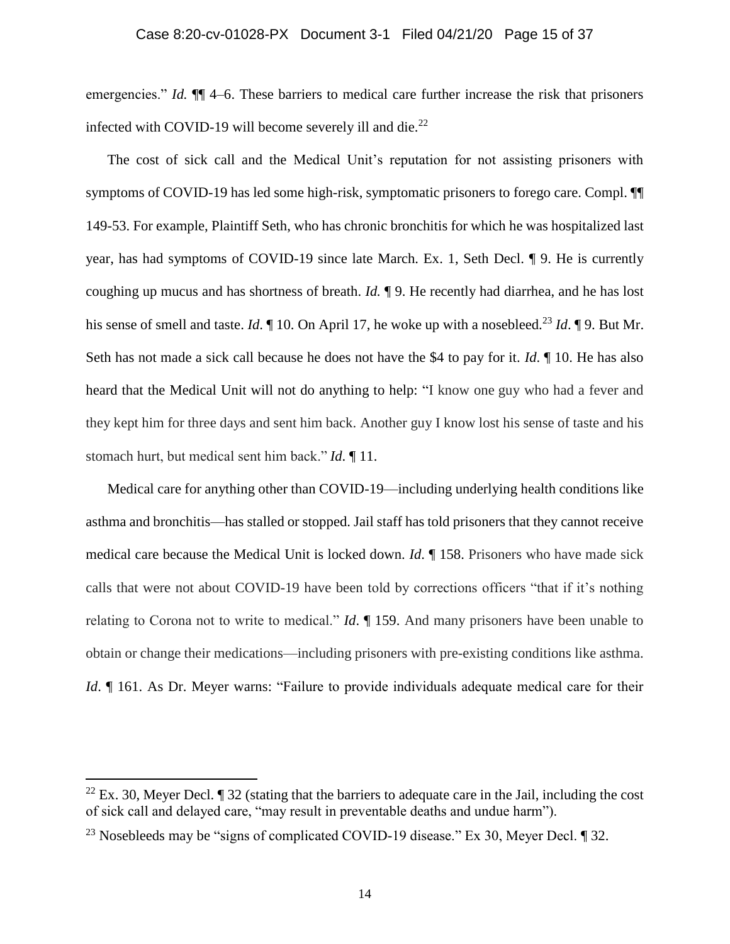emergencies." *Id.*  $\P$  4–6. These barriers to medical care further increase the risk that prisoners infected with COVID-19 will become severely ill and die. $^{22}$ 

The cost of sick call and the Medical Unit's reputation for not assisting prisoners with symptoms of COVID-19 has led some high-risk, symptomatic prisoners to forego care. Compl. ¶¶ 149-53. For example, Plaintiff Seth, who has chronic bronchitis for which he was hospitalized last year, has had symptoms of COVID-19 since late March. Ex. 1, Seth Decl. ¶ 9. He is currently coughing up mucus and has shortness of breath. *Id.* ¶ 9. He recently had diarrhea, and he has lost his sense of smell and taste. *Id*.  $\mathbb{I}$  10. On April 17, he woke up with a nosebleed.<sup>23</sup> *Id*.  $\mathbb{I}$  9. But Mr. Seth has not made a sick call because he does not have the \$4 to pay for it. *Id*. ¶ 10. He has also heard that the Medical Unit will not do anything to help: "I know one guy who had a fever and they kept him for three days and sent him back. Another guy I know lost his sense of taste and his stomach hurt, but medical sent him back." *Id*. ¶ 11.

Medical care for anything other than COVID-19—including underlying health conditions like asthma and bronchitis—has stalled or stopped. Jail staff has told prisoners that they cannot receive medical care because the Medical Unit is locked down. *Id*. ¶ 158. Prisoners who have made sick calls that were not about COVID-19 have been told by corrections officers "that if it's nothing relating to Corona not to write to medical." *Id*. ¶ 159. And many prisoners have been unable to obtain or change their medications—including prisoners with pre-existing conditions like asthma. *Id*. *[*] 161. As Dr. Meyer warns: "Failure to provide individuals adequate medical care for their

<sup>&</sup>lt;sup>22</sup> Ex. 30, Meyer Decl.  $\P$  32 (stating that the barriers to adequate care in the Jail, including the cost of sick call and delayed care, "may result in preventable deaths and undue harm").

<sup>&</sup>lt;sup>23</sup> Nosebleeds may be "signs of complicated COVID-19 disease." Ex 30, Meyer Decl.  $\P$  32.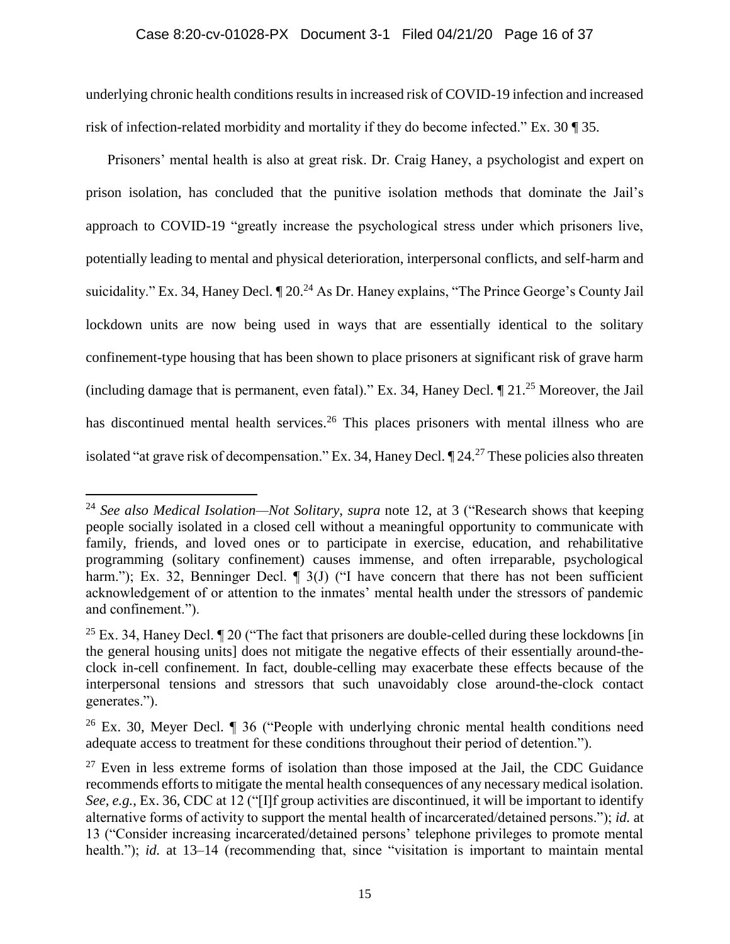# Case 8:20-cv-01028-PX Document 3-1 Filed 04/21/20 Page 16 of 37

underlying chronic health conditions results in increased risk of COVID-19 infection and increased risk of infection-related morbidity and mortality if they do become infected." Ex. 30 ¶ 35.

Prisoners' mental health is also at great risk. Dr. Craig Haney, a psychologist and expert on prison isolation, has concluded that the punitive isolation methods that dominate the Jail's approach to COVID-19 "greatly increase the psychological stress under which prisoners live, potentially leading to mental and physical deterioration, interpersonal conflicts, and self-harm and suicidality." Ex. 34, Haney Decl.  $\P$  20.<sup>24</sup> As Dr. Haney explains, "The Prince George's County Jail lockdown units are now being used in ways that are essentially identical to the solitary confinement-type housing that has been shown to place prisoners at significant risk of grave harm (including damage that is permanent, even fatal)." Ex. 34, Haney Decl.  $\P$  21.<sup>25</sup> Moreover, the Jail has discontinued mental health services.<sup>26</sup> This places prisoners with mental illness who are isolated "at grave risk of decompensation." Ex. 34, Haney Decl. ¶ 24.<sup>27</sup> These policies also threaten

<sup>24</sup> *See also Medical Isolation—Not Solitary*, *supra* note 12, at 3 ("Research shows that keeping people socially isolated in a closed cell without a meaningful opportunity to communicate with family, friends, and loved ones or to participate in exercise, education, and rehabilitative programming (solitary confinement) causes immense, and often irreparable, psychological harm."); Ex. 32, Benninger Decl.  $\P$  3(J) ("I have concern that there has not been sufficient acknowledgement of or attention to the inmates' mental health under the stressors of pandemic and confinement.").

<sup>&</sup>lt;sup>25</sup> Ex. 34, Haney Decl.  $\P$  20 ("The fact that prisoners are double-celled during these lockdowns [in] the general housing units] does not mitigate the negative effects of their essentially around-theclock in-cell confinement. In fact, double-celling may exacerbate these effects because of the interpersonal tensions and stressors that such unavoidably close around-the-clock contact generates.").

<sup>&</sup>lt;sup>26</sup> Ex. 30, Meyer Decl.  $\P$  36 ("People with underlying chronic mental health conditions need adequate access to treatment for these conditions throughout their period of detention.").

 $27$  Even in less extreme forms of isolation than those imposed at the Jail, the CDC Guidance recommends efforts to mitigate the mental health consequences of any necessary medical isolation. *See, e.g.*, Ex. 36, CDC at 12 ("[I]f group activities are discontinued, it will be important to identify alternative forms of activity to support the mental health of incarcerated/detained persons."); *id.* at 13 ("Consider increasing incarcerated/detained persons' telephone privileges to promote mental health."); *id.* at 13–14 (recommending that, since "visitation is important to maintain mental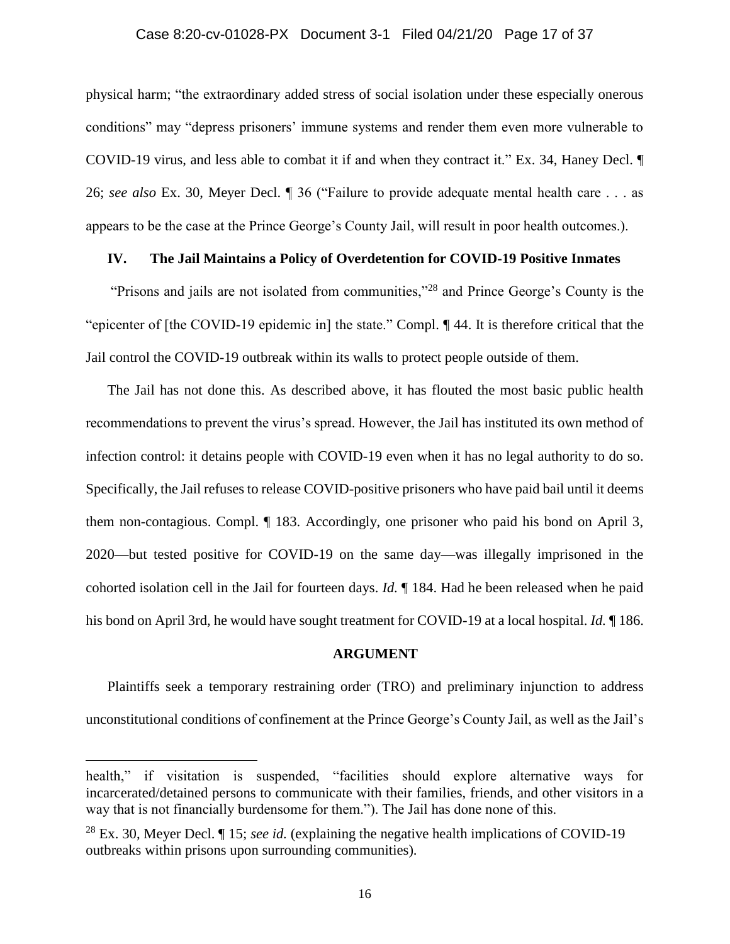#### Case 8:20-cv-01028-PX Document 3-1 Filed 04/21/20 Page 17 of 37

physical harm; "the extraordinary added stress of social isolation under these especially onerous conditions" may "depress prisoners' immune systems and render them even more vulnerable to COVID-19 virus, and less able to combat it if and when they contract it." Ex. 34, Haney Decl. ¶ 26; *see also* Ex. 30, Meyer Decl. ¶ 36 ("Failure to provide adequate mental health care . . . as appears to be the case at the Prince George's County Jail, will result in poor health outcomes.).

### **IV. The Jail Maintains a Policy of Overdetention for COVID-19 Positive Inmates**

"Prisons and jails are not isolated from communities,"<sup>28</sup> and Prince George's County is the "epicenter of [the COVID-19 epidemic in] the state." Compl. ¶ 44. It is therefore critical that the Jail control the COVID-19 outbreak within its walls to protect people outside of them.

The Jail has not done this. As described above, it has flouted the most basic public health recommendations to prevent the virus's spread. However, the Jail has instituted its own method of infection control: it detains people with COVID-19 even when it has no legal authority to do so. Specifically, the Jail refuses to release COVID-positive prisoners who have paid bail until it deems them non-contagious. Compl. ¶ 183. Accordingly, one prisoner who paid his bond on April 3, 2020—but tested positive for COVID-19 on the same day—was illegally imprisoned in the cohorted isolation cell in the Jail for fourteen days. *Id.* ¶ 184. Had he been released when he paid his bond on April 3rd, he would have sought treatment for COVID-19 at a local hospital. *Id.* ¶ 186.

### **ARGUMENT**

Plaintiffs seek a temporary restraining order (TRO) and preliminary injunction to address unconstitutional conditions of confinement at the Prince George's County Jail, as well as the Jail's

health," if visitation is suspended, "facilities should explore alternative ways for incarcerated/detained persons to communicate with their families, friends, and other visitors in a way that is not financially burdensome for them."). The Jail has done none of this.

<sup>28</sup> Ex. 30, Meyer Decl. ¶ 15; *see id.* (explaining the negative health implications of COVID-19 outbreaks within prisons upon surrounding communities).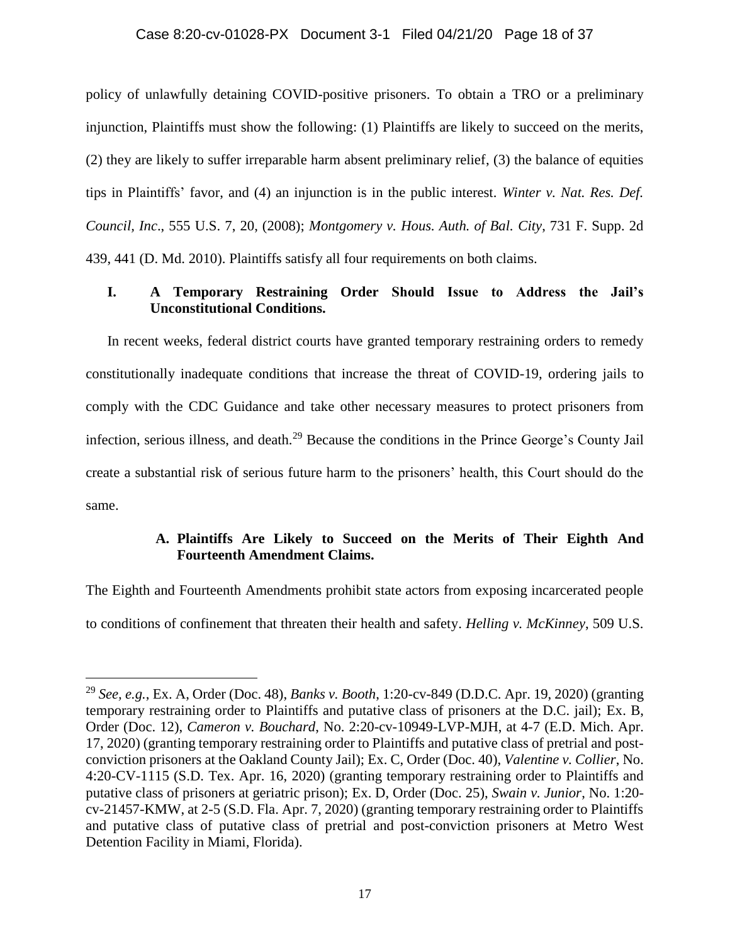### Case 8:20-cv-01028-PX Document 3-1 Filed 04/21/20 Page 18 of 37

policy of unlawfully detaining COVID-positive prisoners. To obtain a TRO or a preliminary injunction, Plaintiffs must show the following: (1) Plaintiffs are likely to succeed on the merits, (2) they are likely to suffer irreparable harm absent preliminary relief, (3) the balance of equities tips in Plaintiffs' favor, and (4) an injunction is in the public interest. *Winter v. Nat. Res. Def. Council, Inc*., 555 U.S. 7, 20, (2008); *Montgomery v. Hous. Auth. of Bal. City*, 731 F. Supp. 2d 439, 441 (D. Md. 2010). Plaintiffs satisfy all four requirements on both claims.

# **I. A Temporary Restraining Order Should Issue to Address the Jail's Unconstitutional Conditions.**

In recent weeks, federal district courts have granted temporary restraining orders to remedy constitutionally inadequate conditions that increase the threat of COVID-19, ordering jails to comply with the CDC Guidance and take other necessary measures to protect prisoners from infection, serious illness, and death.<sup>29</sup> Because the conditions in the Prince George's County Jail create a substantial risk of serious future harm to the prisoners' health, this Court should do the same.

# **A. Plaintiffs Are Likely to Succeed on the Merits of Their Eighth And Fourteenth Amendment Claims.**

The Eighth and Fourteenth Amendments prohibit state actors from exposing incarcerated people to conditions of confinement that threaten their health and safety. *Helling v. McKinney*, 509 U.S.

<sup>29</sup> *See, e.g.*, Ex. A, Order (Doc. 48), *Banks v. Booth*, 1:20-cv-849 (D.D.C. Apr. 19, 2020) (granting temporary restraining order to Plaintiffs and putative class of prisoners at the D.C. jail); Ex. B, Order (Doc. 12), *Cameron v. Bouchard*, No. 2:20-cv-10949-LVP-MJH, at 4-7 (E.D. Mich. Apr. 17, 2020) (granting temporary restraining order to Plaintiffs and putative class of pretrial and postconviction prisoners at the Oakland County Jail); Ex. C, Order (Doc. 40), *Valentine v. Collier*, No. 4:20-CV-1115 (S.D. Tex. Apr. 16, 2020) (granting temporary restraining order to Plaintiffs and putative class of prisoners at geriatric prison); Ex. D, Order (Doc. 25), *Swain v. Junior*, No. 1:20 cv-21457-KMW, at 2-5 (S.D. Fla. Apr. 7, 2020) (granting temporary restraining order to Plaintiffs and putative class of putative class of pretrial and post-conviction prisoners at Metro West Detention Facility in Miami, Florida).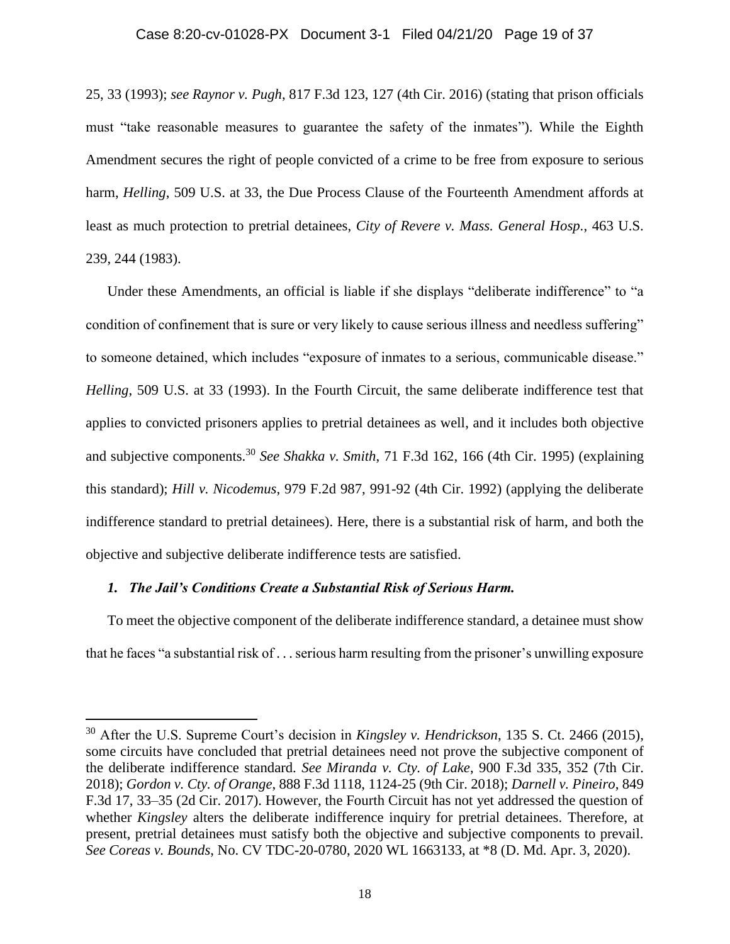## Case 8:20-cv-01028-PX Document 3-1 Filed 04/21/20 Page 19 of 37

25, 33 (1993); *see Raynor v. Pugh*, 817 F.3d 123, 127 (4th Cir. 2016) (stating that prison officials must "take reasonable measures to guarantee the safety of the inmates"). While the Eighth Amendment secures the right of people convicted of a crime to be free from exposure to serious harm, *Helling*, 509 U.S. at 33, the Due Process Clause of the Fourteenth Amendment affords at least as much protection to pretrial detainees, *City of Revere v. Mass. General Hosp.*, 463 U.S. 239, 244 (1983).

Under these Amendments, an official is liable if she displays "deliberate indifference" to "a condition of confinement that is sure or very likely to cause serious illness and needless suffering" to someone detained, which includes "exposure of inmates to a serious, communicable disease." *Helling*, 509 U.S. at 33 (1993). In the Fourth Circuit, the same deliberate indifference test that applies to convicted prisoners applies to pretrial detainees as well, and it includes both objective and subjective components.<sup>30</sup> *See Shakka v. Smith*, 71 F.3d 162, 166 (4th Cir. 1995) (explaining this standard); *Hill v. Nicodemus*, 979 F.2d 987, 991-92 (4th Cir. 1992) (applying the deliberate indifference standard to pretrial detainees). Here, there is a substantial risk of harm, and both the objective and subjective deliberate indifference tests are satisfied.

### *1. The Jail's Conditions Create a Substantial Risk of Serious Harm.*

l

To meet the objective component of the deliberate indifference standard, a detainee must show that he faces "a substantial risk of . . . serious harm resulting from the prisoner's unwilling exposure

<sup>30</sup> After the U.S. Supreme Court's decision in *Kingsley v. Hendrickson*, 135 S. Ct. 2466 (2015), some circuits have concluded that pretrial detainees need not prove the subjective component of the deliberate indifference standard. *See Miranda v. Cty. of Lake*, 900 F.3d 335, 352 (7th Cir. 2018); *Gordon v. Cty. of Orange*, 888 F.3d 1118, 1124-25 (9th Cir. 2018); *Darnell v. Pineiro*, 849 F.3d 17, 33–35 (2d Cir. 2017). However, the Fourth Circuit has not yet addressed the question of whether *Kingsley* alters the deliberate indifference inquiry for pretrial detainees. Therefore, at present, pretrial detainees must satisfy both the objective and subjective components to prevail. *See Coreas v. Bounds*, No. CV TDC-20-0780, 2020 WL 1663133, at \*8 (D. Md. Apr. 3, 2020).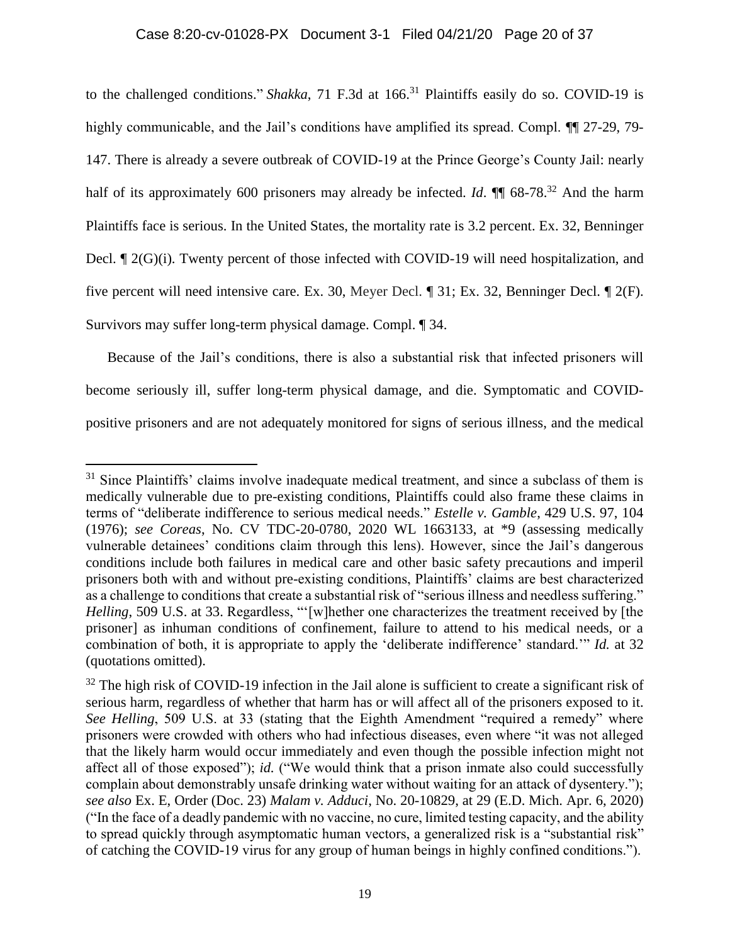to the challenged conditions." *Shakka*, 71 F.3d at 166.<sup>31</sup> Plaintiffs easily do so. COVID-19 is highly communicable, and the Jail's conditions have amplified its spread. Compl.  $\P$  27-29, 79-147. There is already a severe outbreak of COVID-19 at the Prince George's County Jail: nearly half of its approximately 600 prisoners may already be infected. *Id*. **¶** 68-78.<sup>32</sup> And the harm Plaintiffs face is serious. In the United States, the mortality rate is 3.2 percent. Ex. 32, Benninger Decl.  $\mathbb{I}$  2(G)(i). Twenty percent of those infected with COVID-19 will need hospitalization, and five percent will need intensive care. Ex. 30, Meyer Decl. ¶ 31; Ex. 32, Benninger Decl. ¶ 2(F). Survivors may suffer long-term physical damage. Compl. ¶ 34.

Because of the Jail's conditions, there is also a substantial risk that infected prisoners will become seriously ill, suffer long-term physical damage, and die. Symptomatic and COVIDpositive prisoners and are not adequately monitored for signs of serious illness, and the medical

 $31$  Since Plaintiffs' claims involve inadequate medical treatment, and since a subclass of them is medically vulnerable due to pre-existing conditions, Plaintiffs could also frame these claims in terms of "deliberate indifference to serious medical needs." *Estelle v. Gamble*, 429 U.S. 97, 104 (1976); *see Coreas*, No. CV TDC-20-0780, 2020 WL 1663133, at \*9 (assessing medically vulnerable detainees' conditions claim through this lens). However, since the Jail's dangerous conditions include both failures in medical care and other basic safety precautions and imperil prisoners both with and without pre-existing conditions, Plaintiffs' claims are best characterized as a challenge to conditions that create a substantial risk of "serious illness and needless suffering." *Helling*, 509 U.S. at 33. Regardless, "'[w]hether one characterizes the treatment received by [the prisoner] as inhuman conditions of confinement, failure to attend to his medical needs, or a combination of both, it is appropriate to apply the 'deliberate indifference' standard.'" *Id.* at 32 (quotations omitted).

 $32$  The high risk of COVID-19 infection in the Jail alone is sufficient to create a significant risk of serious harm, regardless of whether that harm has or will affect all of the prisoners exposed to it. *See Helling*, 509 U.S. at 33 (stating that the Eighth Amendment "required a remedy" where prisoners were crowded with others who had infectious diseases, even where "it was not alleged that the likely harm would occur immediately and even though the possible infection might not affect all of those exposed"); *id.* ("We would think that a prison inmate also could successfully complain about demonstrably unsafe drinking water without waiting for an attack of dysentery."); *see also* Ex. E, Order (Doc. 23) *Malam v. Adduci*, No. 20-10829, at 29 (E.D. Mich. Apr. 6, 2020) ("In the face of a deadly pandemic with no vaccine, no cure, limited testing capacity, and the ability to spread quickly through asymptomatic human vectors, a generalized risk is a "substantial risk" of catching the COVID-19 virus for any group of human beings in highly confined conditions.").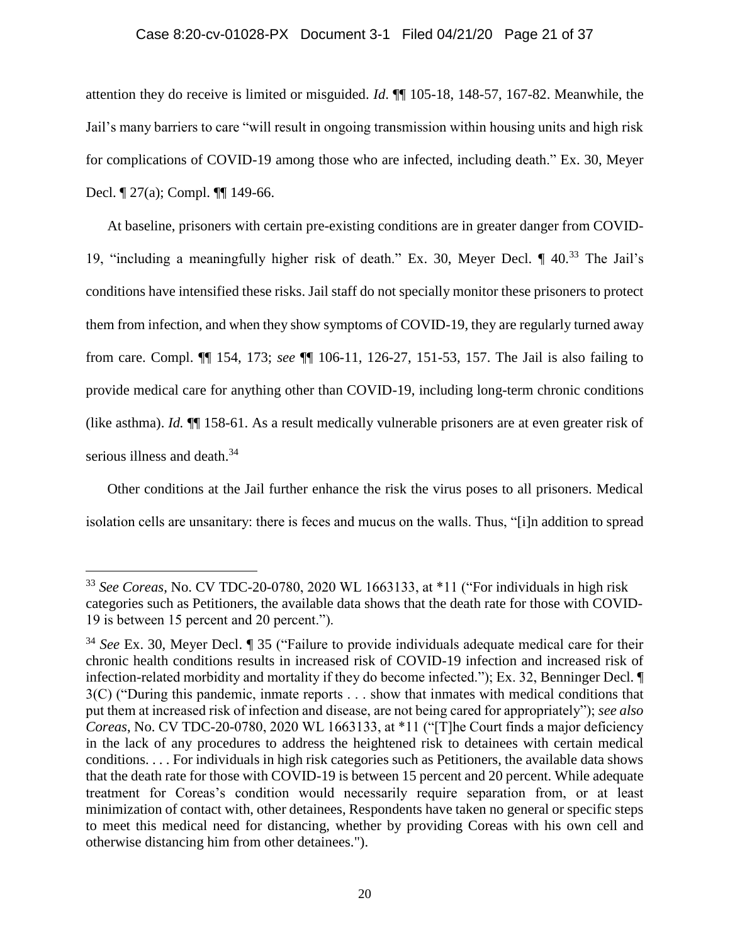# Case 8:20-cv-01028-PX Document 3-1 Filed 04/21/20 Page 21 of 37

attention they do receive is limited or misguided. *Id*. ¶¶ 105-18, 148-57, 167-82. Meanwhile, the Jail's many barriers to care "will result in ongoing transmission within housing units and high risk for complications of COVID-19 among those who are infected, including death." Ex. 30, Meyer Decl. ¶ 27(a); Compl. ¶¶ 149-66.

At baseline, prisoners with certain pre-existing conditions are in greater danger from COVID-19, "including a meaningfully higher risk of death." Ex. 30, Meyer Decl. ¶ 40.<sup>33</sup> The Jail's conditions have intensified these risks. Jail staff do not specially monitor these prisoners to protect them from infection, and when they show symptoms of COVID-19, they are regularly turned away from care. Compl. ¶¶ 154, 173; *see* ¶¶ 106-11, 126-27, 151-53, 157. The Jail is also failing to provide medical care for anything other than COVID-19, including long-term chronic conditions (like asthma). *Id.* ¶¶ 158-61. As a result medically vulnerable prisoners are at even greater risk of serious illness and death.<sup>34</sup>

Other conditions at the Jail further enhance the risk the virus poses to all prisoners. Medical isolation cells are unsanitary: there is feces and mucus on the walls. Thus, "[i]n addition to spread

<sup>33</sup> *See Coreas*, No. CV TDC-20-0780, 2020 WL 1663133, at \*11 ("For individuals in high risk categories such as Petitioners, the available data shows that the death rate for those with COVID-19 is between 15 percent and 20 percent.").

<sup>34</sup> *See* Ex. 30, Meyer Decl. ¶ 35 ("Failure to provide individuals adequate medical care for their chronic health conditions results in increased risk of COVID-19 infection and increased risk of infection-related morbidity and mortality if they do become infected."); Ex. 32, Benninger Decl. ¶ 3(C) ("During this pandemic, inmate reports . . . show that inmates with medical conditions that put them at increased risk of infection and disease, are not being cared for appropriately"); *see also Coreas*, No. CV TDC-20-0780, 2020 WL 1663133, at \*11 ("[T]he Court finds a major deficiency in the lack of any procedures to address the heightened risk to detainees with certain medical conditions. . . . For individuals in high risk categories such as Petitioners, the available data shows that the death rate for those with COVID-19 is between 15 percent and 20 percent. While adequate treatment for Coreas's condition would necessarily require separation from, or at least minimization of contact with, other detainees, Respondents have taken no general or specific steps to meet this medical need for distancing, whether by providing Coreas with his own cell and otherwise distancing him from other detainees.").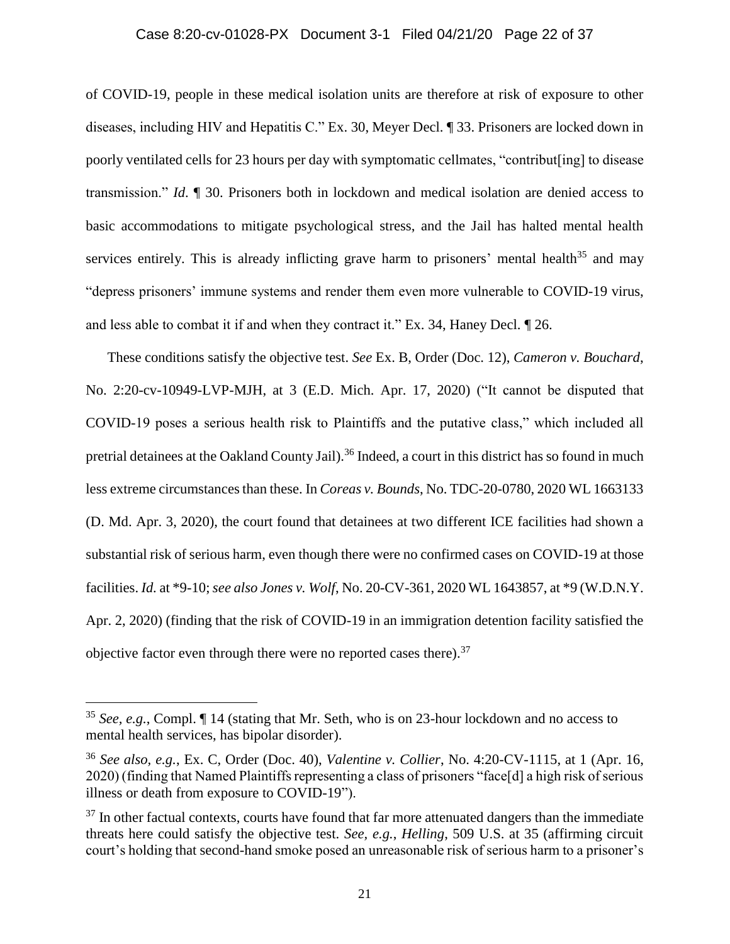# Case 8:20-cv-01028-PX Document 3-1 Filed 04/21/20 Page 22 of 37

of COVID-19, people in these medical isolation units are therefore at risk of exposure to other diseases, including HIV and Hepatitis C." Ex. 30, Meyer Decl. ¶ 33. Prisoners are locked down in poorly ventilated cells for 23 hours per day with symptomatic cellmates, "contribut[ing] to disease transmission." *Id*. ¶ 30. Prisoners both in lockdown and medical isolation are denied access to basic accommodations to mitigate psychological stress, and the Jail has halted mental health services entirely. This is already inflicting grave harm to prisoners' mental health<sup>35</sup> and may "depress prisoners' immune systems and render them even more vulnerable to COVID-19 virus, and less able to combat it if and when they contract it." Ex. 34, Haney Decl. ¶ 26.

These conditions satisfy the objective test. *See* Ex. B, Order (Doc. 12), *Cameron v. Bouchard*, No. 2:20-cv-10949-LVP-MJH, at 3 (E.D. Mich. Apr. 17, 2020) ("It cannot be disputed that COVID-19 poses a serious health risk to Plaintiffs and the putative class," which included all pretrial detainees at the Oakland County Jail).<sup>36</sup> Indeed, a court in this district has so found in much less extreme circumstances than these. In *Coreas v. Bounds*, No. TDC-20-0780, 2020 WL 1663133 (D. Md. Apr. 3, 2020), the court found that detainees at two different ICE facilities had shown a substantial risk of serious harm, even though there were no confirmed cases on COVID-19 at those facilities. *Id.* at \*9-10; *see also Jones v. Wolf*, No. 20-CV-361, 2020 WL 1643857, at \*9 (W.D.N.Y. Apr. 2, 2020) (finding that the risk of COVID-19 in an immigration detention facility satisfied the objective factor even through there were no reported cases there).  $37$ 

<sup>35</sup> *See, e.g.*, Compl. ¶ 14 (stating that Mr. Seth, who is on 23-hour lockdown and no access to mental health services, has bipolar disorder).

<sup>36</sup> *See also, e.g.*, Ex. C, Order (Doc. 40), *Valentine v. Collier*, No. 4:20-CV-1115, at 1 (Apr. 16, 2020) (finding that Named Plaintiffs representing a class of prisoners "face[d] a high risk of serious illness or death from exposure to COVID-19").

 $37$  In other factual contexts, courts have found that far more attenuated dangers than the immediate threats here could satisfy the objective test. *See, e.g.*, *Helling*, 509 U.S. at 35 (affirming circuit court's holding that second-hand smoke posed an unreasonable risk of serious harm to a prisoner's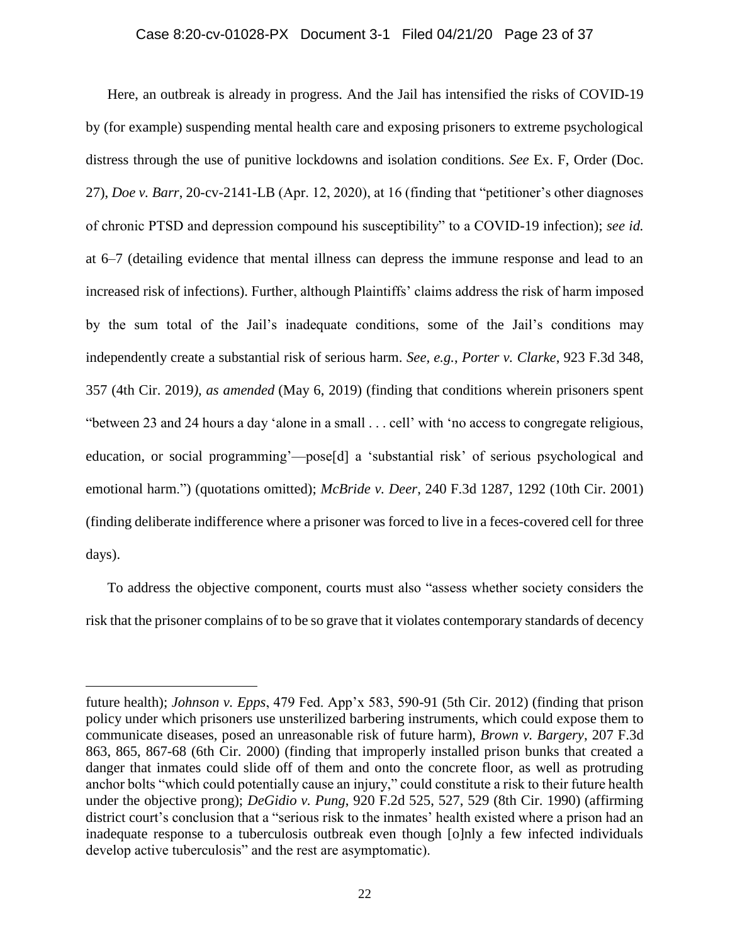Here, an outbreak is already in progress. And the Jail has intensified the risks of COVID-19 by (for example) suspending mental health care and exposing prisoners to extreme psychological distress through the use of punitive lockdowns and isolation conditions. *See* Ex. F, Order (Doc. 27), *Doe v. Barr*, 20-cv-2141-LB (Apr. 12, 2020), at 16 (finding that "petitioner's other diagnoses of chronic PTSD and depression compound his susceptibility" to a COVID-19 infection); *see id.*  at 6–7 (detailing evidence that mental illness can depress the immune response and lead to an increased risk of infections). Further, although Plaintiffs' claims address the risk of harm imposed by the sum total of the Jail's inadequate conditions, some of the Jail's conditions may independently create a substantial risk of serious harm. *See, e.g.*, *Porter v. Clarke*, 923 F.3d 348, 357 (4th Cir. 2019*), as amended* (May 6, 2019) (finding that conditions wherein prisoners spent "between 23 and 24 hours a day 'alone in a small . . . cell' with 'no access to congregate religious, education, or social programming'—pose[d] a 'substantial risk' of serious psychological and emotional harm.") (quotations omitted); *McBride v. Deer*, 240 F.3d 1287, 1292 (10th Cir. 2001) (finding deliberate indifference where a prisoner was forced to live in a feces-covered cell for three days).

To address the objective component, courts must also "assess whether society considers the risk that the prisoner complains of to be so grave that it violates contemporary standards of decency

future health); *Johnson v. Epps*, 479 Fed. App'x 583, 590-91 (5th Cir. 2012) (finding that prison policy under which prisoners use unsterilized barbering instruments, which could expose them to communicate diseases, posed an unreasonable risk of future harm), *Brown v. Bargery*, 207 F.3d 863, 865, 867-68 (6th Cir. 2000) (finding that improperly installed prison bunks that created a danger that inmates could slide off of them and onto the concrete floor, as well as protruding anchor bolts "which could potentially cause an injury," could constitute a risk to their future health under the objective prong); *DeGidio v. Pung*, 920 F.2d 525, 527, 529 (8th Cir. 1990) (affirming district court's conclusion that a "serious risk to the inmates' health existed where a prison had an inadequate response to a tuberculosis outbreak even though [o]nly a few infected individuals develop active tuberculosis" and the rest are asymptomatic).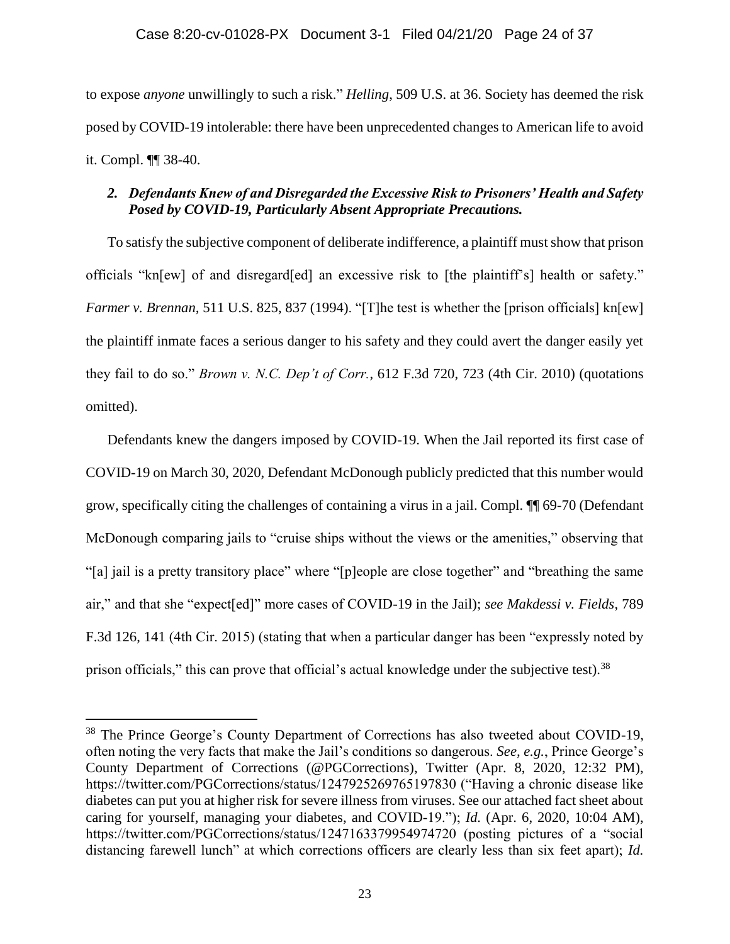to expose *anyone* unwillingly to such a risk." *Helling*, 509 U.S. at 36. Society has deemed the risk posed by COVID-19 intolerable: there have been unprecedented changes to American life to avoid it. Compl. ¶¶ 38-40.

# *2. Defendants Knew of and Disregarded the Excessive Risk to Prisoners' Health and Safety Posed by COVID-19, Particularly Absent Appropriate Precautions.*

To satisfy the subjective component of deliberate indifference, a plaintiff must show that prison officials "kn[ew] of and disregard[ed] an excessive risk to [the plaintiff's] health or safety." *Farmer v. Brennan,* 511 U.S. 825, 837 (1994). "[T]he test is whether the [prison officials] kn[ew] the plaintiff inmate faces a serious danger to his safety and they could avert the danger easily yet they fail to do so." *Brown v. N.C. Dep't of Corr.*, 612 F.3d 720, 723 (4th Cir. 2010) (quotations omitted).

Defendants knew the dangers imposed by COVID-19. When the Jail reported its first case of COVID-19 on March 30, 2020, Defendant McDonough publicly predicted that this number would grow, specifically citing the challenges of containing a virus in a jail. Compl. ¶¶ 69-70 (Defendant McDonough comparing jails to "cruise ships without the views or the amenities," observing that "[a] jail is a pretty transitory place" where "[p]eople are close together" and "breathing the same air," and that she "expect[ed]" more cases of COVID-19 in the Jail); *see Makdessi v. Fields*, 789 F.3d 126, 141 (4th Cir. 2015) (stating that when a particular danger has been "expressly noted by prison officials," this can prove that official's actual knowledge under the subjective test).<sup>38</sup>

<sup>&</sup>lt;sup>38</sup> The Prince George's County Department of Corrections has also tweeted about COVID-19, often noting the very facts that make the Jail's conditions so dangerous. *See, e.g.*, Prince George's County Department of Corrections (@PGCorrections), Twitter (Apr. 8, 2020, 12:32 PM), https://twitter.com/PGCorrections/status/1247925269765197830 ("Having a chronic disease like diabetes can put you at higher risk for severe illness from viruses. See our attached fact sheet about caring for yourself, managing your diabetes, and COVID-19."); *Id.* (Apr. 6, 2020, 10:04 AM), https://twitter.com/PGCorrections/status/1247163379954974720 (posting pictures of a "social distancing farewell lunch" at which corrections officers are clearly less than six feet apart); *Id.*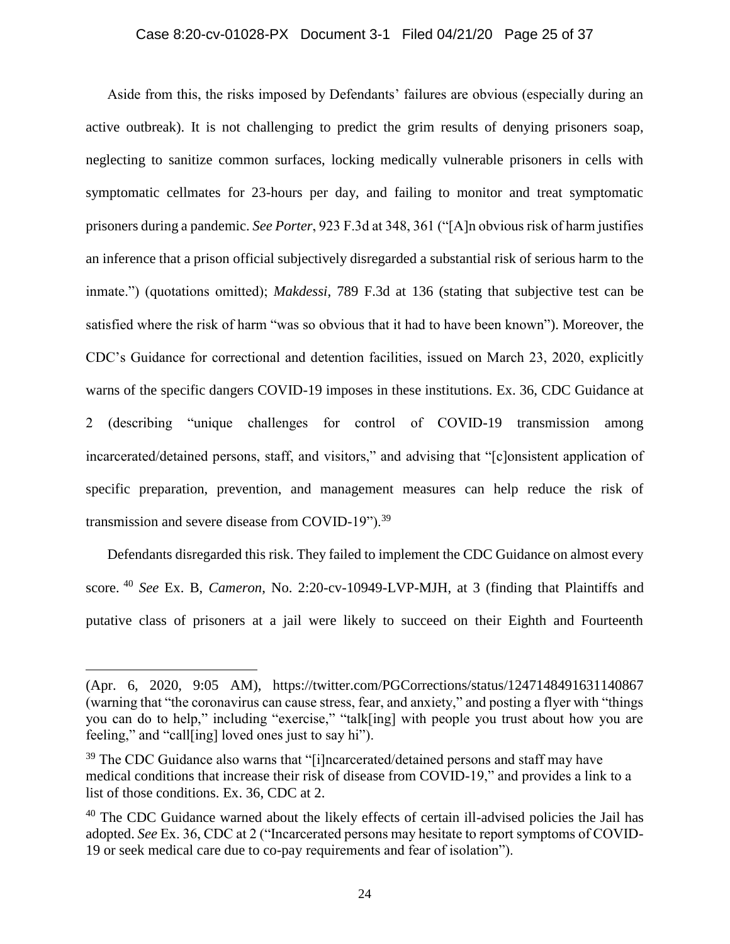### Case 8:20-cv-01028-PX Document 3-1 Filed 04/21/20 Page 25 of 37

Aside from this, the risks imposed by Defendants' failures are obvious (especially during an active outbreak). It is not challenging to predict the grim results of denying prisoners soap, neglecting to sanitize common surfaces, locking medically vulnerable prisoners in cells with symptomatic cellmates for 23-hours per day, and failing to monitor and treat symptomatic prisoners during a pandemic. *See Porter*, 923 F.3d at 348, 361 ("[A]n obvious risk of harm justifies an inference that a prison official subjectively disregarded a substantial risk of serious harm to the inmate.") (quotations omitted); *Makdessi*, 789 F.3d at 136 (stating that subjective test can be satisfied where the risk of harm "was so obvious that it had to have been known"). Moreover, the CDC's Guidance for correctional and detention facilities, issued on March 23, 2020, explicitly warns of the specific dangers COVID-19 imposes in these institutions. Ex. 36, CDC Guidance at 2 (describing "unique challenges for control of COVID-19 transmission among incarcerated/detained persons, staff, and visitors," and advising that "[c]onsistent application of specific preparation, prevention, and management measures can help reduce the risk of transmission and severe disease from COVID-19").<sup>39</sup>

Defendants disregarded this risk. They failed to implement the CDC Guidance on almost every score. <sup>40</sup> *See* Ex. B, *Cameron*, No. 2:20-cv-10949-LVP-MJH, at 3 (finding that Plaintiffs and putative class of prisoners at a jail were likely to succeed on their Eighth and Fourteenth

<sup>(</sup>Apr. 6, 2020, 9:05 AM), https://twitter.com/PGCorrections/status/1247148491631140867 (warning that "the coronavirus can cause stress, fear, and anxiety," and posting a flyer with "things you can do to help," including "exercise," "talk[ing] with people you trust about how you are feeling," and "call[ing] loved ones just to say hi").

 $39$  The CDC Guidance also warns that "[i]ncarcerated/detained persons and staff may have medical conditions that increase their risk of disease from COVID-19," and provides a link to a list of those conditions. Ex. 36, CDC at 2.

 $40$  The CDC Guidance warned about the likely effects of certain ill-advised policies the Jail has adopted. *See* Ex. 36, CDC at 2 ("Incarcerated persons may hesitate to report symptoms of COVID-19 or seek medical care due to co-pay requirements and fear of isolation").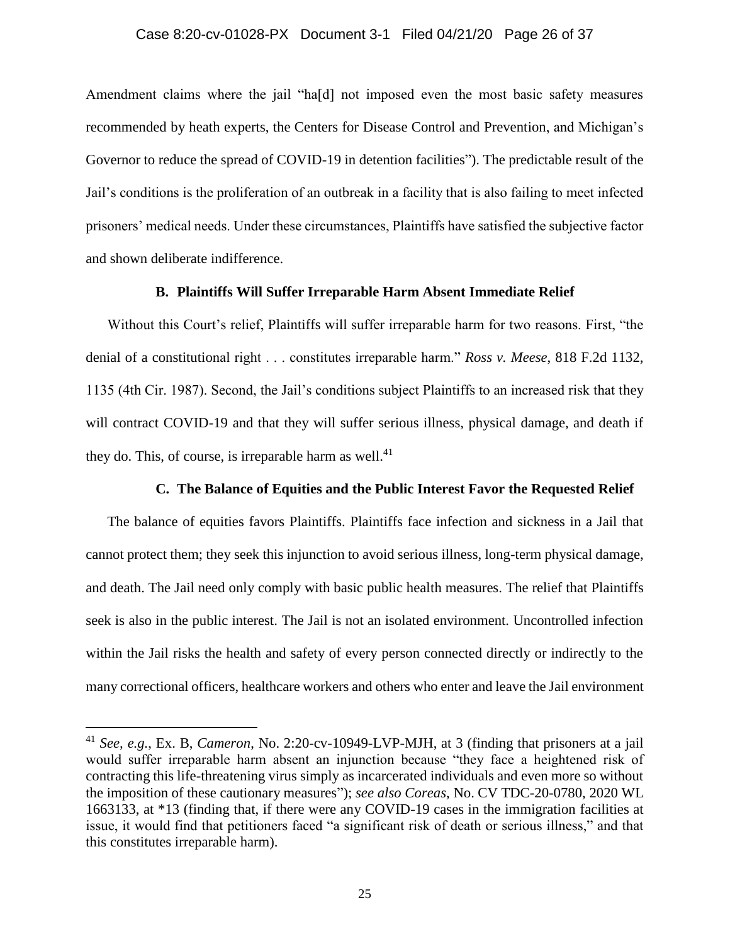Amendment claims where the jail "ha[d] not imposed even the most basic safety measures recommended by heath experts, the Centers for Disease Control and Prevention, and Michigan's Governor to reduce the spread of COVID-19 in detention facilities"). The predictable result of the Jail's conditions is the proliferation of an outbreak in a facility that is also failing to meet infected prisoners' medical needs. Under these circumstances, Plaintiffs have satisfied the subjective factor and shown deliberate indifference.

### **B. Plaintiffs Will Suffer Irreparable Harm Absent Immediate Relief**

Without this Court's relief, Plaintiffs will suffer irreparable harm for two reasons. First, "the denial of a constitutional right . . . constitutes irreparable harm." *Ross v. Meese*, 818 F.2d 1132, 1135 (4th Cir. 1987). Second, the Jail's conditions subject Plaintiffs to an increased risk that they will contract COVID-19 and that they will suffer serious illness, physical damage, and death if they do. This, of course, is irreparable harm as well. $^{41}$ 

### **C. The Balance of Equities and the Public Interest Favor the Requested Relief**

The balance of equities favors Plaintiffs. Plaintiffs face infection and sickness in a Jail that cannot protect them; they seek this injunction to avoid serious illness, long-term physical damage, and death. The Jail need only comply with basic public health measures. The relief that Plaintiffs seek is also in the public interest. The Jail is not an isolated environment. Uncontrolled infection within the Jail risks the health and safety of every person connected directly or indirectly to the many correctional officers, healthcare workers and others who enter and leave the Jail environment

<sup>41</sup> *See, e.g.*, Ex. B, *Cameron*, No. 2:20-cv-10949-LVP-MJH, at 3 (finding that prisoners at a jail would suffer irreparable harm absent an injunction because "they face a heightened risk of contracting this life-threatening virus simply as incarcerated individuals and even more so without the imposition of these cautionary measures"); *see also Coreas*, No. CV TDC-20-0780, 2020 WL 1663133, at \*13 (finding that, if there were any COVID-19 cases in the immigration facilities at issue, it would find that petitioners faced "a significant risk of death or serious illness," and that this constitutes irreparable harm).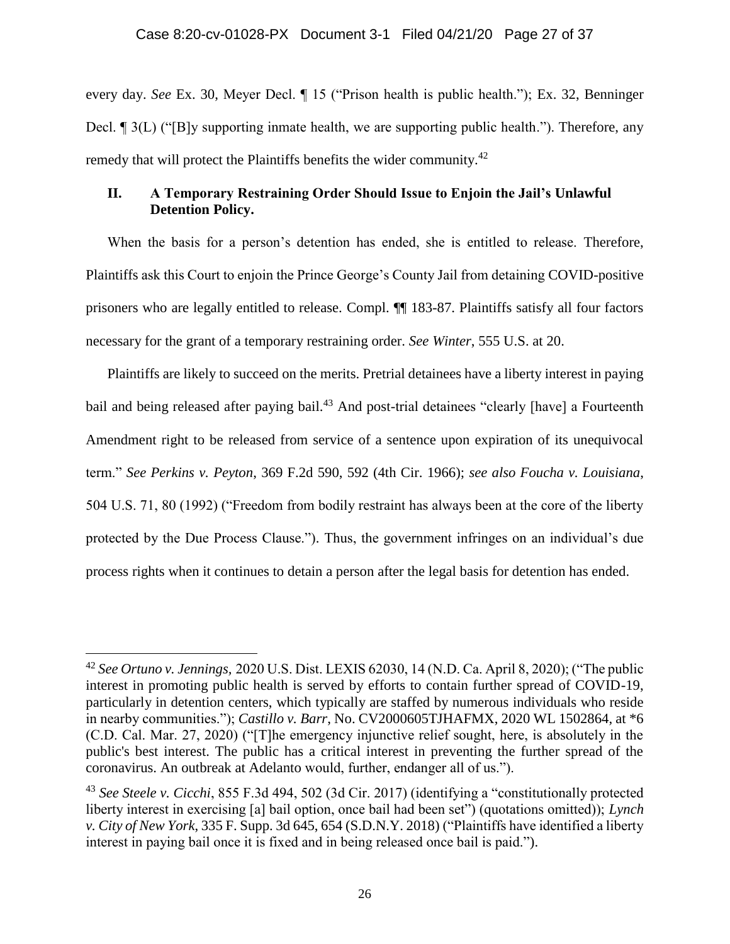every day. *See* Ex. 30, Meyer Decl. ¶ 15 ("Prison health is public health."); Ex. 32, Benninger Decl. ¶ 3(L) ("[B]y supporting inmate health, we are supporting public health."). Therefore, any remedy that will protect the Plaintiffs benefits the wider community.<sup>42</sup>

# **II. A Temporary Restraining Order Should Issue to Enjoin the Jail's Unlawful Detention Policy.**

When the basis for a person's detention has ended, she is entitled to release. Therefore, Plaintiffs ask this Court to enjoin the Prince George's County Jail from detaining COVID-positive prisoners who are legally entitled to release. Compl. ¶¶ 183-87. Plaintiffs satisfy all four factors necessary for the grant of a temporary restraining order. *See Winter*, 555 U.S. at 20.

Plaintiffs are likely to succeed on the merits. Pretrial detainees have a liberty interest in paying bail and being released after paying bail.<sup>43</sup> And post-trial detainees "clearly [have] a Fourteenth Amendment right to be released from service of a sentence upon expiration of its unequivocal term." *See Perkins v. Peyton*, 369 F.2d 590, 592 (4th Cir. 1966); *see also Foucha v. Louisiana*, 504 U.S. 71, 80 (1992) ("Freedom from bodily restraint has always been at the core of the liberty protected by the Due Process Clause."). Thus, the government infringes on an individual's due process rights when it continues to detain a person after the legal basis for detention has ended.

<sup>42</sup> *See Ortuno v. Jennings,* 2020 U.S. Dist. LEXIS 62030, 14 (N.D. Ca. April 8, 2020); ("The public interest in promoting public health is served by efforts to contain further spread of COVID-19, particularly in detention centers, which typically are staffed by numerous individuals who reside in nearby communities."); *Castillo v. Barr*, No. CV2000605TJHAFMX, 2020 WL 1502864, at \*6 (C.D. Cal. Mar. 27, 2020) ("[T]he emergency injunctive relief sought, here, is absolutely in the public's best interest. The public has a critical interest in preventing the further spread of the coronavirus. An outbreak at Adelanto would, further, endanger all of us.").

<sup>43</sup> *See Steele v. Cicchi*, 855 F.3d 494, 502 (3d Cir. 2017) (identifying a "constitutionally protected liberty interest in exercising [a] bail option, once bail had been set") (quotations omitted)); *Lynch v. City of New York*, 335 F. Supp. 3d 645, 654 (S.D.N.Y. 2018) ("Plaintiffs have identified a liberty interest in paying bail once it is fixed and in being released once bail is paid.").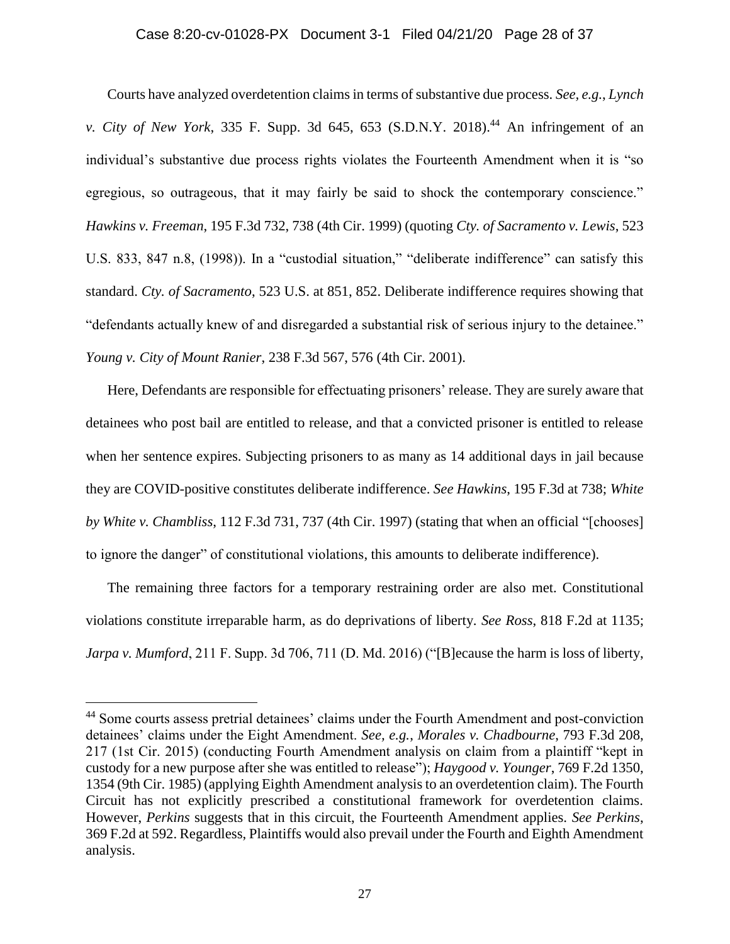# Case 8:20-cv-01028-PX Document 3-1 Filed 04/21/20 Page 28 of 37

Courts have analyzed overdetention claims in terms of substantive due process. *See, e.g.*, *Lynch v. City of New York*, 335 F. Supp. 3d 645, 653 (S.D.N.Y. 2018). <sup>44</sup> An infringement of an individual's substantive due process rights violates the Fourteenth Amendment when it is "so egregious, so outrageous, that it may fairly be said to shock the contemporary conscience." *Hawkins v. Freeman*, 195 F.3d 732, 738 (4th Cir. 1999) (quoting *Cty. of Sacramento v. Lewis*, 523 U.S. 833, 847 n.8, (1998)). In a "custodial situation," "deliberate indifference" can satisfy this standard. *Cty. of Sacramento*, 523 U.S. at 851, 852. Deliberate indifference requires showing that "defendants actually knew of and disregarded a substantial risk of serious injury to the detainee." *Young v. City of Mount Ranier*, 238 F.3d 567, 576 (4th Cir. 2001).

Here, Defendants are responsible for effectuating prisoners' release. They are surely aware that detainees who post bail are entitled to release, and that a convicted prisoner is entitled to release when her sentence expires. Subjecting prisoners to as many as 14 additional days in jail because they are COVID-positive constitutes deliberate indifference. *See Hawkins*, 195 F.3d at 738; *White by White v. Chambliss*, 112 F.3d 731, 737 (4th Cir. 1997) (stating that when an official "[chooses] to ignore the danger" of constitutional violations, this amounts to deliberate indifference).

The remaining three factors for a temporary restraining order are also met. Constitutional violations constitute irreparable harm, as do deprivations of liberty. *See Ross*, 818 F.2d at 1135; *Jarpa v. Mumford*, 211 F. Supp. 3d 706, 711 (D. Md. 2016) ("[B]ecause the harm is loss of liberty,

<sup>44</sup> Some courts assess pretrial detainees' claims under the Fourth Amendment and post-conviction detainees' claims under the Eight Amendment. *See, e.g.*, *Morales v. Chadbourne*, 793 F.3d 208, 217 (1st Cir. 2015) (conducting Fourth Amendment analysis on claim from a plaintiff "kept in custody for a new purpose after she was entitled to release"); *Haygood v. Younger*, 769 F.2d 1350, 1354 (9th Cir. 1985) (applying Eighth Amendment analysis to an overdetention claim). The Fourth Circuit has not explicitly prescribed a constitutional framework for overdetention claims. However, *Perkins* suggests that in this circuit, the Fourteenth Amendment applies. *See Perkins*, 369 F.2d at 592. Regardless, Plaintiffs would also prevail under the Fourth and Eighth Amendment analysis.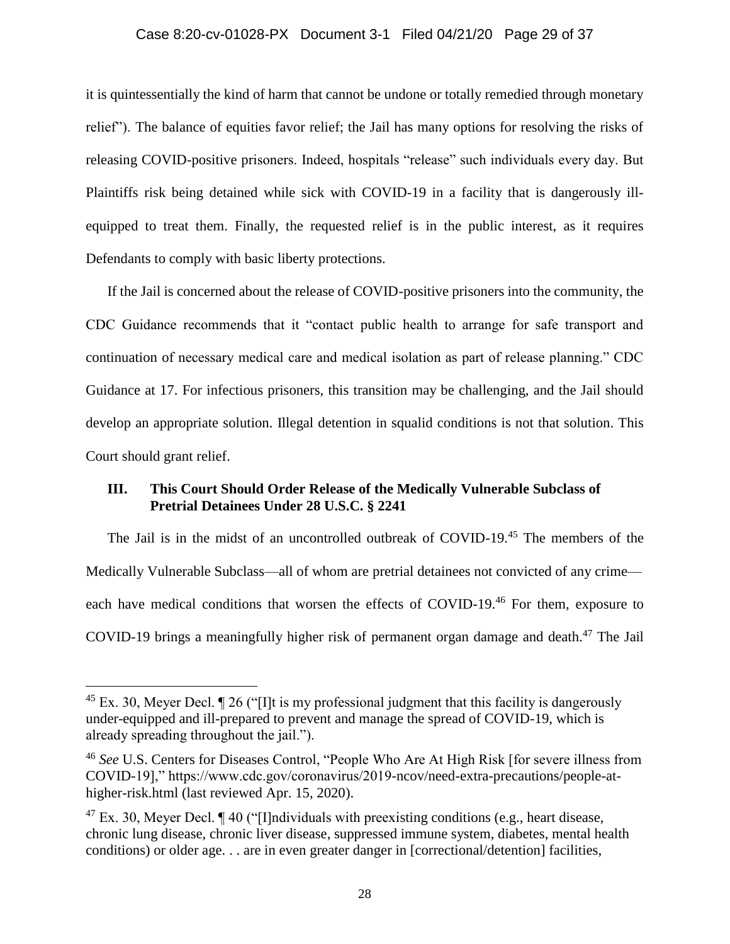# Case 8:20-cv-01028-PX Document 3-1 Filed 04/21/20 Page 29 of 37

it is quintessentially the kind of harm that cannot be undone or totally remedied through monetary relief"). The balance of equities favor relief; the Jail has many options for resolving the risks of releasing COVID-positive prisoners. Indeed, hospitals "release" such individuals every day. But Plaintiffs risk being detained while sick with COVID-19 in a facility that is dangerously illequipped to treat them. Finally, the requested relief is in the public interest, as it requires Defendants to comply with basic liberty protections.

If the Jail is concerned about the release of COVID-positive prisoners into the community, the CDC Guidance recommends that it "contact public health to arrange for safe transport and continuation of necessary medical care and medical isolation as part of release planning." CDC Guidance at 17. For infectious prisoners, this transition may be challenging, and the Jail should develop an appropriate solution. Illegal detention in squalid conditions is not that solution. This Court should grant relief.

# **III. This Court Should Order Release of the Medically Vulnerable Subclass of Pretrial Detainees Under 28 U.S.C. § 2241**

The Jail is in the midst of an uncontrolled outbreak of COVID-19. <sup>45</sup> The members of the Medically Vulnerable Subclass—all of whom are pretrial detainees not convicted of any crime each have medical conditions that worsen the effects of COVID-19.<sup>46</sup> For them, exposure to COVID-19 brings a meaningfully higher risk of permanent organ damage and death. <sup>47</sup> The Jail

 $45$  Ex. 30, Meyer Decl.  $\sqrt{26}$  ("Ilt is my professional judgment that this facility is dangerously under-equipped and ill-prepared to prevent and manage the spread of COVID-19, which is already spreading throughout the jail.").

<sup>46</sup> *See* U.S. Centers for Diseases Control, "People Who Are At High Risk [for severe illness from COVID-19]," https://www.cdc.gov/coronavirus/2019-ncov/need-extra-precautions/people-athigher-risk.html (last reviewed Apr. 15, 2020).

 $^{47}$  Ex. 30, Meyer Decl.  $\P$  40 ("[I]ndividuals with preexisting conditions (e.g., heart disease, chronic lung disease, chronic liver disease, suppressed immune system, diabetes, mental health conditions) or older age. . . are in even greater danger in [correctional/detention] facilities,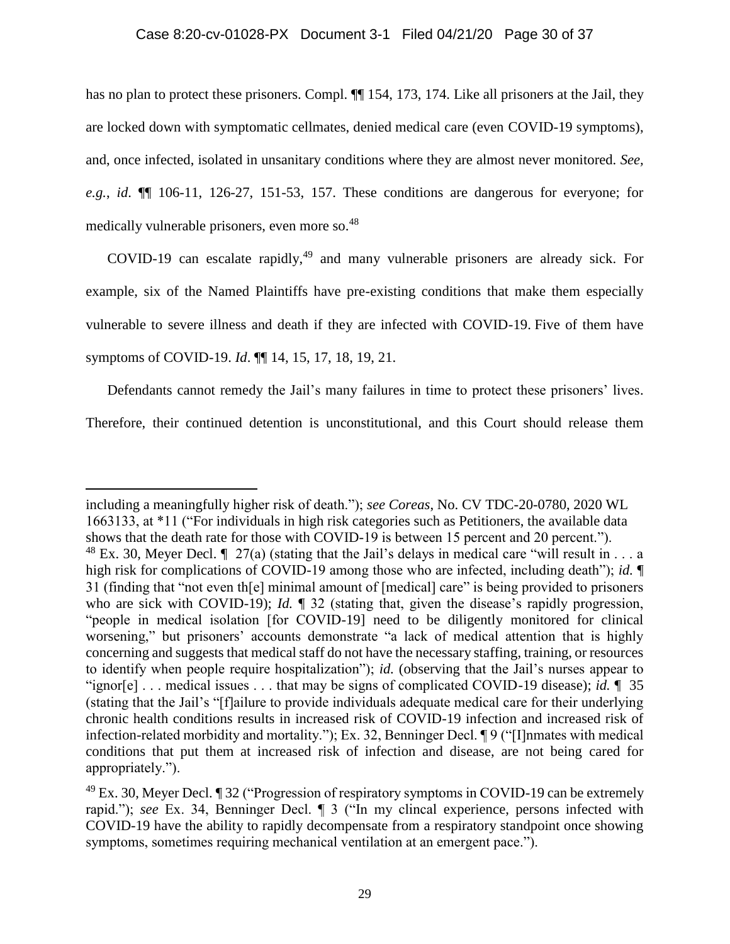has no plan to protect these prisoners. Compl.  $\P$  154, 173, 174. Like all prisoners at the Jail, they are locked down with symptomatic cellmates, denied medical care (even COVID-19 symptoms), and, once infected, isolated in unsanitary conditions where they are almost never monitored. *See, e.g.*, *id*. ¶¶ 106-11, 126-27, 151-53, 157. These conditions are dangerous for everyone; for medically vulnerable prisoners, even more so.<sup>48</sup>

COVID-19 can escalate rapidly,<sup>49</sup> and many vulnerable prisoners are already sick. For example, six of the Named Plaintiffs have pre-existing conditions that make them especially vulnerable to severe illness and death if they are infected with COVID-19. Five of them have symptoms of COVID-19. *Id*. ¶¶ 14, 15, 17, 18, 19, 21.

Defendants cannot remedy the Jail's many failures in time to protect these prisoners' lives. Therefore, their continued detention is unconstitutional, and this Court should release them

including a meaningfully higher risk of death."); *see Coreas*, No. CV TDC-20-0780, 2020 WL 1663133, at \*11 ("For individuals in high risk categories such as Petitioners, the available data shows that the death rate for those with COVID-19 is between 15 percent and 20 percent."). <sup>48</sup> Ex. 30, Meyer Decl.  $\parallel$  27(a) (stating that the Jail's delays in medical care "will result in . . . a high risk for complications of COVID-19 among those who are infected, including death"); *id.* ¶ 31 (finding that "not even th[e] minimal amount of [medical] care" is being provided to prisoners who are sick with COVID-19); *Id.*  $\parallel$  32 (stating that, given the disease's rapidly progression, "people in medical isolation [for COVID-19] need to be diligently monitored for clinical worsening," but prisoners' accounts demonstrate "a lack of medical attention that is highly concerning and suggests that medical staff do not have the necessary staffing, training, or resources to identify when people require hospitalization"); *id.* (observing that the Jail's nurses appear to "ignor[e] . . . medical issues . . . that may be signs of complicated COVID-19 disease); *id.* ¶ 35 (stating that the Jail's "[f]ailure to provide individuals adequate medical care for their underlying chronic health conditions results in increased risk of COVID-19 infection and increased risk of infection-related morbidity and mortality."); Ex. 32, Benninger Decl. ¶ 9 ("[I]nmates with medical conditions that put them at increased risk of infection and disease, are not being cared for appropriately.").

 $^{49}$  Ex. 30, Meyer Decl.  $\sqrt{ }$  32 ("Progression of respiratory symptoms in COVID-19 can be extremely rapid."); *see* Ex. 34, Benninger Decl. ¶ 3 ("In my clincal experience, persons infected with COVID-19 have the ability to rapidly decompensate from a respiratory standpoint once showing symptoms, sometimes requiring mechanical ventilation at an emergent pace.").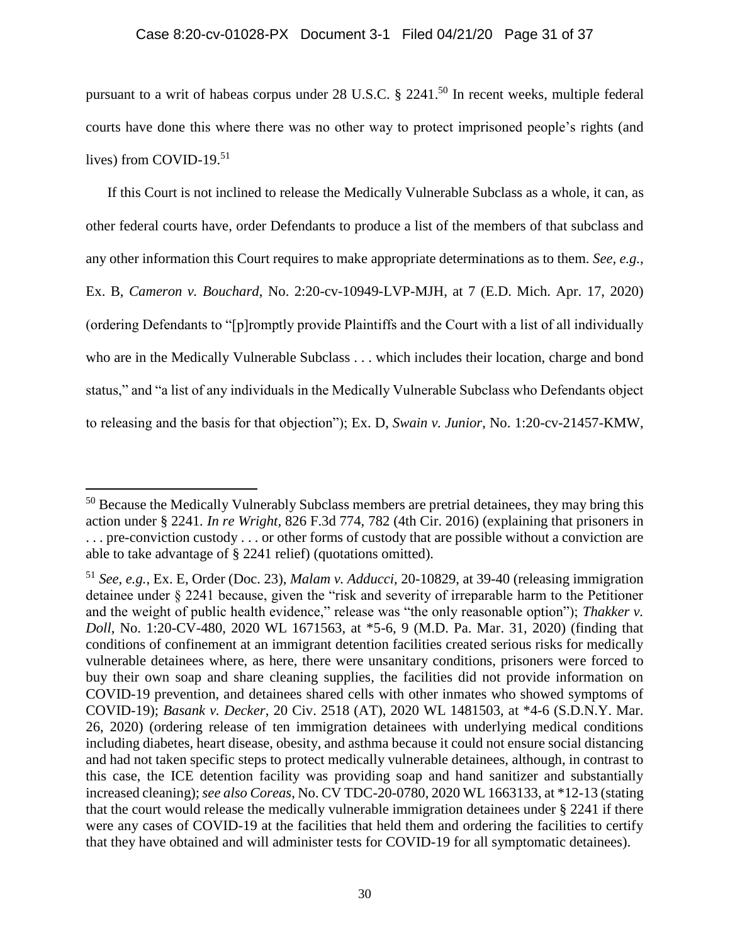pursuant to a writ of habeas corpus under 28 U.S.C. § 2241.<sup>50</sup> In recent weeks, multiple federal courts have done this where there was no other way to protect imprisoned people's rights (and lives) from COVID-19. 51

If this Court is not inclined to release the Medically Vulnerable Subclass as a whole, it can, as other federal courts have, order Defendants to produce a list of the members of that subclass and any other information this Court requires to make appropriate determinations as to them. *See, e.g.*, Ex. B, *Cameron v. Bouchard*, No. 2:20-cv-10949-LVP-MJH, at 7 (E.D. Mich. Apr. 17, 2020) (ordering Defendants to "[p]romptly provide Plaintiffs and the Court with a list of all individually who are in the Medically Vulnerable Subclass . . . which includes their location, charge and bond status," and "a list of any individuals in the Medically Vulnerable Subclass who Defendants object to releasing and the basis for that objection"); Ex. D, *Swain v. Junior*, No. 1:20-cv-21457-KMW,

<sup>&</sup>lt;sup>50</sup> Because the Medically Vulnerably Subclass members are pretrial detainees, they may bring this action under § 2241*. In re Wright,* 826 F.3d 774, 782 (4th Cir. 2016) (explaining that prisoners in . . . pre-conviction custody . . . or other forms of custody that are possible without a conviction are able to take advantage of § 2241 relief) (quotations omitted).

<sup>51</sup> *See, e.g.*, Ex. E, Order (Doc. 23), *Malam v. Adducci*, 20-10829, at 39-40 (releasing immigration detainee under § 2241 because, given the "risk and severity of irreparable harm to the Petitioner and the weight of public health evidence," release was "the only reasonable option"); *Thakker v. Doll*, No. 1:20-CV-480, 2020 WL 1671563, at \*5-6, 9 (M.D. Pa. Mar. 31, 2020) (finding that conditions of confinement at an immigrant detention facilities created serious risks for medically vulnerable detainees where, as here, there were unsanitary conditions, prisoners were forced to buy their own soap and share cleaning supplies, the facilities did not provide information on COVID-19 prevention, and detainees shared cells with other inmates who showed symptoms of COVID-19); *Basank v. Decker*, 20 Civ. 2518 (AT), 2020 WL 1481503, at \*4-6 (S.D.N.Y. Mar. 26, 2020) (ordering release of ten immigration detainees with underlying medical conditions including diabetes, heart disease, obesity, and asthma because it could not ensure social distancing and had not taken specific steps to protect medically vulnerable detainees, although, in contrast to this case, the ICE detention facility was providing soap and hand sanitizer and substantially increased cleaning); *see also Coreas*, No. CV TDC-20-0780, 2020 WL 1663133, at \*12-13 (stating that the court would release the medically vulnerable immigration detainees under § 2241 if there were any cases of COVID-19 at the facilities that held them and ordering the facilities to certify that they have obtained and will administer tests for COVID-19 for all symptomatic detainees).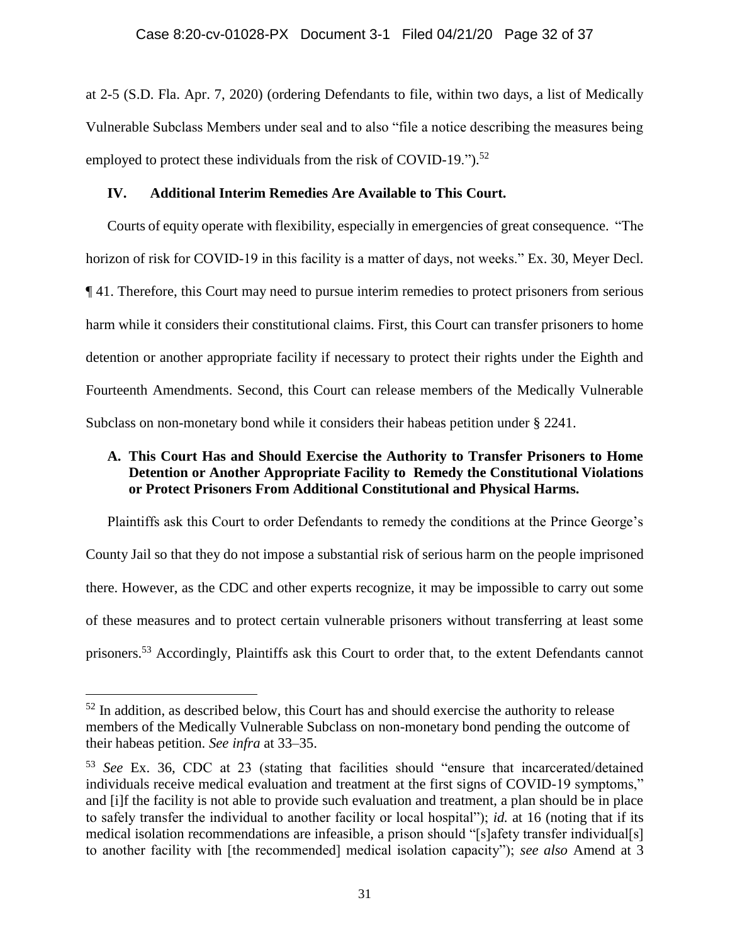at 2-5 (S.D. Fla. Apr. 7, 2020) (ordering Defendants to file, within two days, a list of Medically Vulnerable Subclass Members under seal and to also "file a notice describing the measures being employed to protect these individuals from the risk of COVID-19.").<sup>52</sup>

# **IV. Additional Interim Remedies Are Available to This Court.**

Courts of equity operate with flexibility, especially in emergencies of great consequence. "The horizon of risk for COVID-19 in this facility is a matter of days, not weeks." Ex. 30, Meyer Decl. ¶ 41. Therefore, this Court may need to pursue interim remedies to protect prisoners from serious harm while it considers their constitutional claims. First, this Court can transfer prisoners to home detention or another appropriate facility if necessary to protect their rights under the Eighth and Fourteenth Amendments. Second, this Court can release members of the Medically Vulnerable Subclass on non-monetary bond while it considers their habeas petition under § 2241.

# **A. This Court Has and Should Exercise the Authority to Transfer Prisoners to Home Detention or Another Appropriate Facility to Remedy the Constitutional Violations or Protect Prisoners From Additional Constitutional and Physical Harms.**

Plaintiffs ask this Court to order Defendants to remedy the conditions at the Prince George's County Jail so that they do not impose a substantial risk of serious harm on the people imprisoned there. However, as the CDC and other experts recognize, it may be impossible to carry out some of these measures and to protect certain vulnerable prisoners without transferring at least some prisoners.<sup>53</sup> Accordingly, Plaintiffs ask this Court to order that, to the extent Defendants cannot

 $52$  In addition, as described below, this Court has and should exercise the authority to release members of the Medically Vulnerable Subclass on non-monetary bond pending the outcome of their habeas petition. *See infra* at 33–35.

<sup>53</sup> *See* Ex. 36, CDC at 23 (stating that facilities should "ensure that incarcerated/detained individuals receive medical evaluation and treatment at the first signs of COVID-19 symptoms," and [i]f the facility is not able to provide such evaluation and treatment, a plan should be in place to safely transfer the individual to another facility or local hospital"); *id.* at 16 (noting that if its medical isolation recommendations are infeasible, a prison should "[s]afety transfer individual[s] to another facility with [the recommended] medical isolation capacity"); *see also* Amend at 3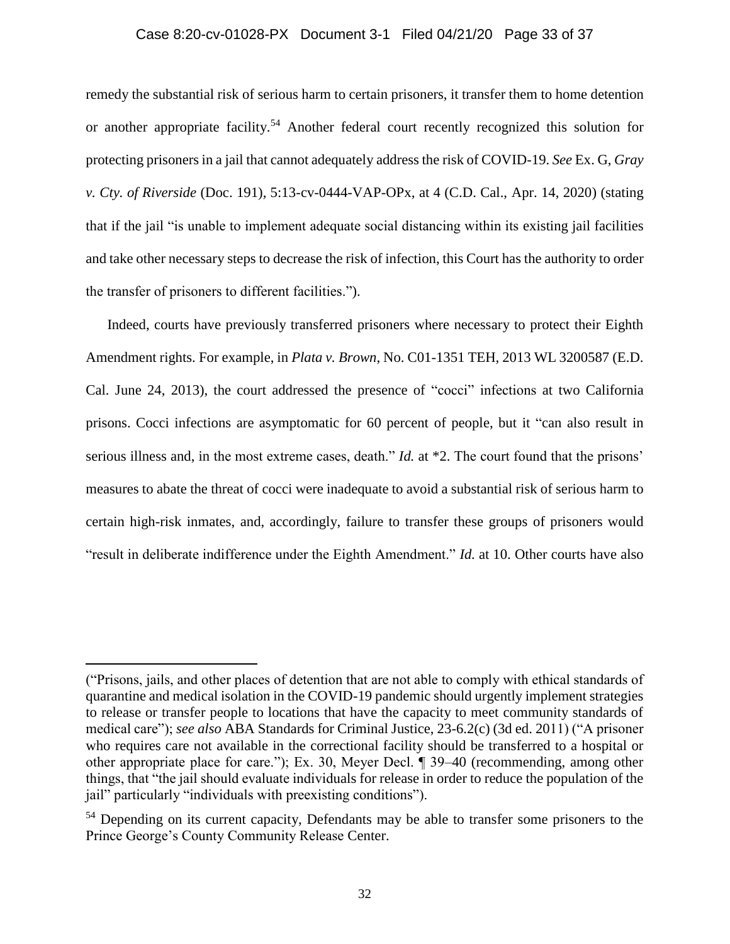#### Case 8:20-cv-01028-PX Document 3-1 Filed 04/21/20 Page 33 of 37

remedy the substantial risk of serious harm to certain prisoners, it transfer them to home detention or another appropriate facility.<sup>54</sup> Another federal court recently recognized this solution for protecting prisoners in a jail that cannot adequately address the risk of COVID-19. *See* Ex. G, *Gray v. Cty. of Riverside* (Doc. 191), 5:13-cv-0444-VAP-OPx, at 4 (C.D. Cal., Apr. 14, 2020) (stating that if the jail "is unable to implement adequate social distancing within its existing jail facilities and take other necessary steps to decrease the risk of infection, this Court has the authority to order the transfer of prisoners to different facilities.").

Indeed, courts have previously transferred prisoners where necessary to protect their Eighth Amendment rights. For example, in *Plata v. Brown*, No. C01-1351 TEH, 2013 WL 3200587 (E.D. Cal. June 24, 2013), the court addressed the presence of "cocci" infections at two California prisons. Cocci infections are asymptomatic for 60 percent of people, but it "can also result in serious illness and, in the most extreme cases, death." *Id.* at \*2. The court found that the prisons' measures to abate the threat of cocci were inadequate to avoid a substantial risk of serious harm to certain high-risk inmates, and, accordingly, failure to transfer these groups of prisoners would "result in deliberate indifference under the Eighth Amendment." *Id.* at 10. Other courts have also

<sup>(&</sup>quot;Prisons, jails, and other places of detention that are not able to comply with ethical standards of quarantine and medical isolation in the COVID-19 pandemic should urgently implement strategies to release or transfer people to locations that have the capacity to meet community standards of medical care"); *see also* ABA Standards for Criminal Justice, 23-6.2(c) (3d ed. 2011) ("A prisoner who requires care not available in the correctional facility should be transferred to a hospital or other appropriate place for care."); Ex. 30, Meyer Decl. ¶ 39–40 (recommending, among other things, that "the jail should evaluate individuals for release in order to reduce the population of the jail" particularly "individuals with preexisting conditions").

<sup>&</sup>lt;sup>54</sup> Depending on its current capacity, Defendants may be able to transfer some prisoners to the Prince George's County Community Release Center.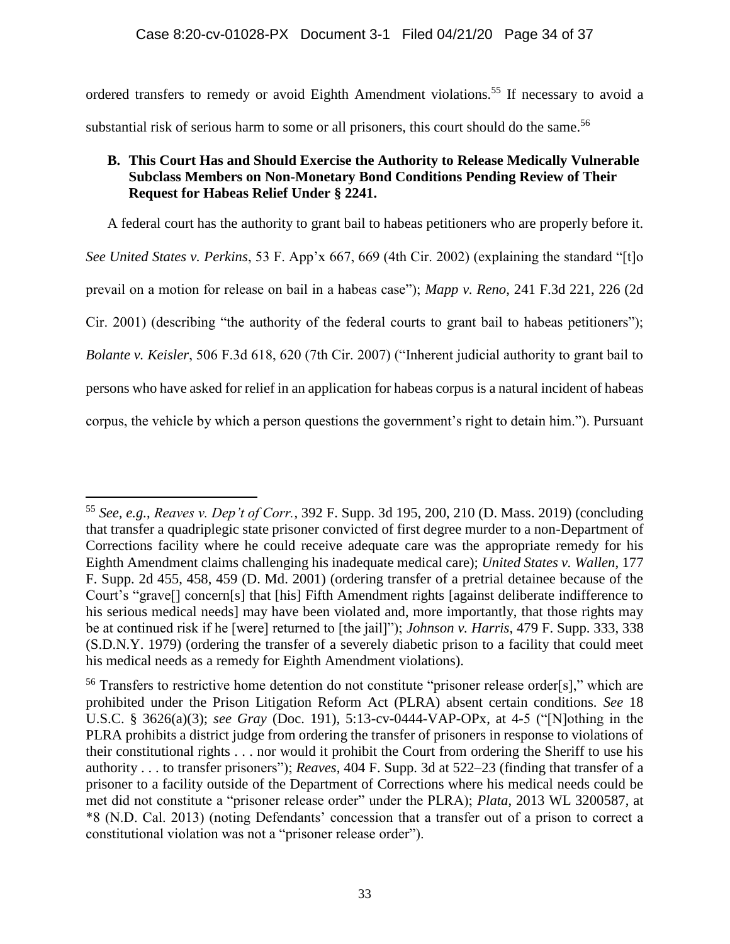ordered transfers to remedy or avoid Eighth Amendment violations.<sup>55</sup> If necessary to avoid a substantial risk of serious harm to some or all prisoners, this court should do the same.<sup>56</sup>

# **B. This Court Has and Should Exercise the Authority to Release Medically Vulnerable Subclass Members on Non-Monetary Bond Conditions Pending Review of Their Request for Habeas Relief Under § 2241.**

A federal court has the authority to grant bail to habeas petitioners who are properly before it. *See United States v. Perkins*, 53 F. App'x 667, 669 (4th Cir. 2002) (explaining the standard "[t]o prevail on a motion for release on bail in a habeas case"); *Mapp v. Reno*, 241 F.3d 221, 226 (2d Cir. 2001) (describing "the authority of the federal courts to grant bail to habeas petitioners"); *Bolante v. Keisler*, 506 F.3d 618, 620 (7th Cir. 2007) ("Inherent judicial authority to grant bail to persons who have asked for relief in an application for habeas corpus is a natural incident of habeas corpus, the vehicle by which a person questions the government's right to detain him."). Pursuant

<sup>55</sup> *See, e.g.*, *Reaves v. Dep't of Corr.*, 392 F. Supp. 3d 195, 200, 210 (D. Mass. 2019) (concluding that transfer a quadriplegic state prisoner convicted of first degree murder to a non-Department of Corrections facility where he could receive adequate care was the appropriate remedy for his Eighth Amendment claims challenging his inadequate medical care); *United States v. Wallen*, 177 F. Supp. 2d 455, 458, 459 (D. Md. 2001) (ordering transfer of a pretrial detainee because of the Court's "grave[] concern[s] that [his] Fifth Amendment rights [against deliberate indifference to his serious medical needs] may have been violated and, more importantly, that those rights may be at continued risk if he [were] returned to [the jail]"); *Johnson v. Harris*, 479 F. Supp. 333, 338 (S.D.N.Y. 1979) (ordering the transfer of a severely diabetic prison to a facility that could meet his medical needs as a remedy for Eighth Amendment violations).

<sup>&</sup>lt;sup>56</sup> Transfers to restrictive home detention do not constitute "prisoner release order[s]," which are prohibited under the Prison Litigation Reform Act (PLRA) absent certain conditions. *See* 18 U.S.C. § 3626(a)(3); *see Gray* (Doc. 191), 5:13-cv-0444-VAP-OPx, at 4-5 ("[N]othing in the PLRA prohibits a district judge from ordering the transfer of prisoners in response to violations of their constitutional rights . . . nor would it prohibit the Court from ordering the Sheriff to use his authority . . . to transfer prisoners"); *Reaves*, 404 F. Supp. 3d at 522–23 (finding that transfer of a prisoner to a facility outside of the Department of Corrections where his medical needs could be met did not constitute a "prisoner release order" under the PLRA); *Plata*, 2013 WL 3200587, at \*8 (N.D. Cal. 2013) (noting Defendants' concession that a transfer out of a prison to correct a constitutional violation was not a "prisoner release order").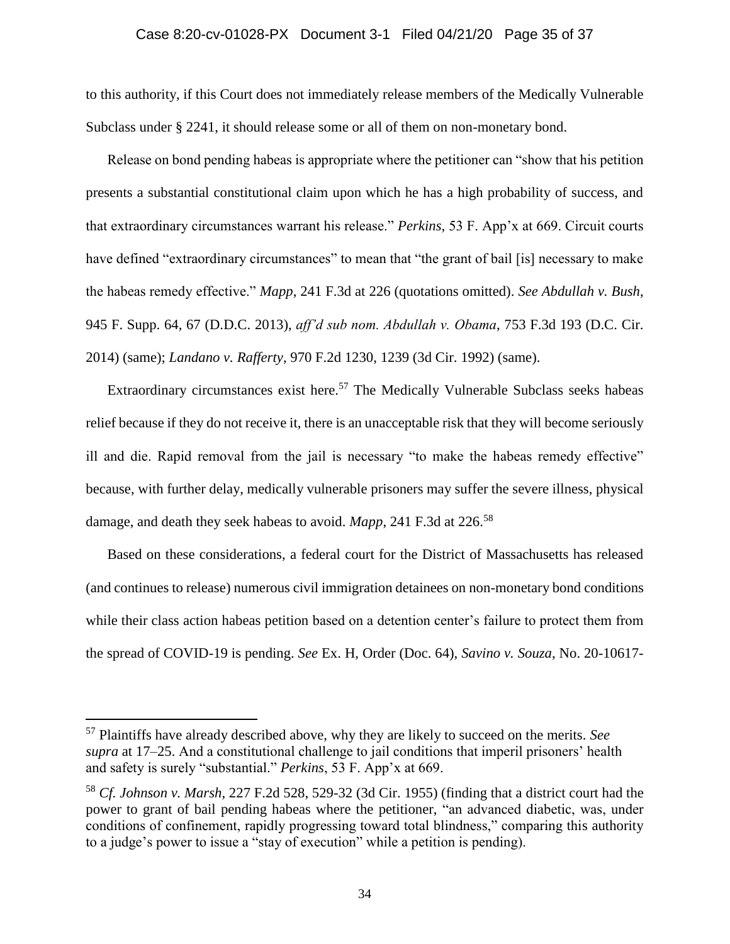# Case 8:20-cv-01028-PX Document 3-1 Filed 04/21/20 Page 35 of 37

to this authority, if this Court does not immediately release members of the Medically Vulnerable Subclass under § 2241, it should release some or all of them on non-monetary bond.

Release on bond pending habeas is appropriate where the petitioner can "show that his petition presents a substantial constitutional claim upon which he has a high probability of success, and that extraordinary circumstances warrant his release." *Perkins*, 53 F. App'x at 669. Circuit courts have defined "extraordinary circumstances" to mean that "the grant of bail [is] necessary to make the habeas remedy effective." *Mapp*, 241 F.3d at 226 (quotations omitted). *See Abdullah v. Bush*, 945 F. Supp. 64, 67 (D.D.C. 2013), *aff'd sub nom. Abdullah v. Obama*, 753 F.3d 193 (D.C. Cir. 2014) (same); *Landano v. Rafferty*, 970 F.2d 1230, 1239 (3d Cir. 1992) (same).

Extraordinary circumstances exist here.<sup>57</sup> The Medically Vulnerable Subclass seeks habeas relief because if they do not receive it, there is an unacceptable risk that they will become seriously ill and die. Rapid removal from the jail is necessary "to make the habeas remedy effective" because, with further delay, medically vulnerable prisoners may suffer the severe illness, physical damage, and death they seek habeas to avoid. *Mapp*, 241 F.3d at 226.<sup>58</sup>

Based on these considerations, a federal court for the District of Massachusetts has released (and continues to release) numerous civil immigration detainees on non-monetary bond conditions while their class action habeas petition based on a detention center's failure to protect them from the spread of COVID-19 is pending. *See* Ex. H, Order (Doc. 64), *Savino v. Souza*, No. 20-10617-

<sup>57</sup> Plaintiffs have already described above, why they are likely to succeed on the merits. *See supra* at 17–25. And a constitutional challenge to jail conditions that imperil prisoners' health and safety is surely "substantial." *Perkins*, 53 F. App'x at 669.

<sup>58</sup> *Cf. Johnson v. Marsh*, 227 F.2d 528, 529-32 (3d Cir. 1955) (finding that a district court had the power to grant of bail pending habeas where the petitioner, "an advanced diabetic, was, under conditions of confinement, rapidly progressing toward total blindness," comparing this authority to a judge's power to issue a "stay of execution" while a petition is pending).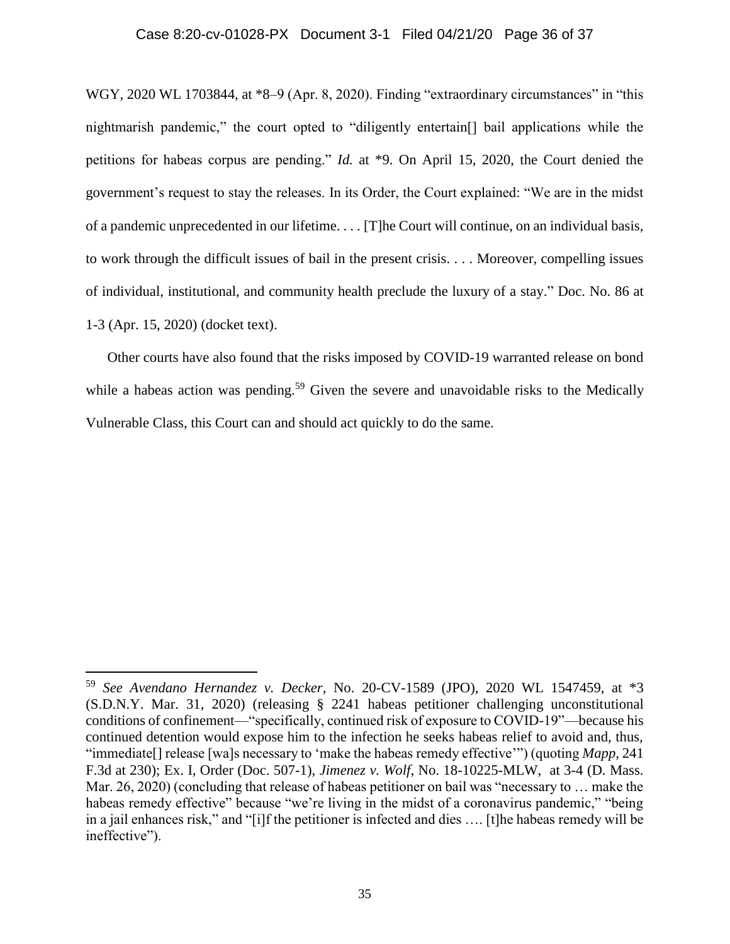# Case 8:20-cv-01028-PX Document 3-1 Filed 04/21/20 Page 36 of 37

WGY, 2020 WL 1703844, at \*8–9 (Apr. 8, 2020). Finding "extraordinary circumstances" in "this nightmarish pandemic," the court opted to "diligently entertain[] bail applications while the petitions for habeas corpus are pending." *Id.* at \*9. On April 15, 2020, the Court denied the government's request to stay the releases. In its Order, the Court explained: "We are in the midst of a pandemic unprecedented in our lifetime. . . . [T]he Court will continue, on an individual basis, to work through the difficult issues of bail in the present crisis. . . . Moreover, compelling issues of individual, institutional, and community health preclude the luxury of a stay." Doc. No. 86 at 1-3 (Apr. 15, 2020) (docket text).

Other courts have also found that the risks imposed by COVID-19 warranted release on bond while a habeas action was pending.<sup>59</sup> Given the severe and unavoidable risks to the Medically Vulnerable Class, this Court can and should act quickly to do the same.

<sup>59</sup> *See Avendano Hernandez v. Decker*, No. 20-CV-1589 (JPO), 2020 WL 1547459, at \*3 (S.D.N.Y. Mar. 31, 2020) (releasing § 2241 habeas petitioner challenging unconstitutional conditions of confinement—"specifically, continued risk of exposure to COVID-19"—because his continued detention would expose him to the infection he seeks habeas relief to avoid and, thus, "immediate[] release [wa]s necessary to 'make the habeas remedy effective'") (quoting *Mapp*, 241 F.3d at 230); Ex. I, Order (Doc. 507-1), *Jimenez v. Wolf*, No. 18-10225-MLW, at 3-4 (D. Mass. Mar. 26, 2020) (concluding that release of habeas petitioner on bail was "necessary to … make the habeas remedy effective" because "we're living in the midst of a coronavirus pandemic," "being in a jail enhances risk," and "[i]f the petitioner is infected and dies …. [t]he habeas remedy will be ineffective").